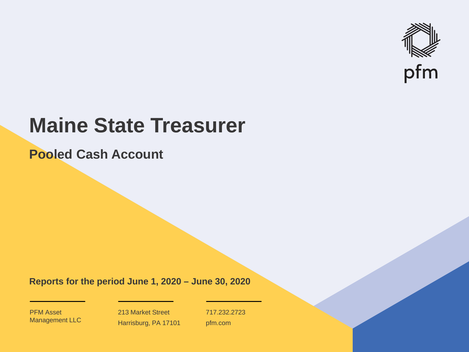

# **Maine State Treasurer**

**Pooled Cash Account**

**Reports for the period June 1, 2020 – June 30, 2020**

PFM Asset Management LLC

213 Market Street Harrisburg, PA 17101 717.232.2723 pfm.com

 $\mathcal{P}_\text{max}$  and  $\mathcal{P}_\text{max}$  is the probability of  $\mathcal{P}_\text{max}$  and  $\mathcal{P}_\text{max}$  and  $\mathcal{P}_\text{max}$  and  $\mathcal{P}_\text{max}$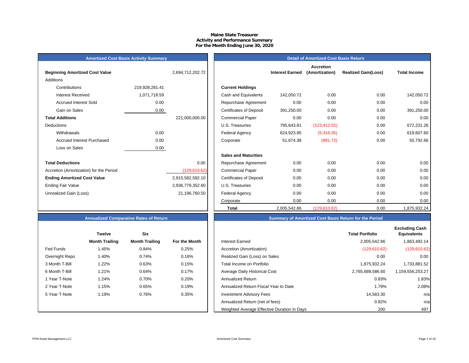#### **Maine State Treasurer Activity and Performance Summary For the Month Ending June 30, 2020**

# **Amortized Cost Basis Activity Summary**<br> **Amortized Cost Basis Return**

| <b>Beginning Amortized Cost Value</b>   |                | 2,694,712,202.72 | <b>Interest Earned</b>                 |
|-----------------------------------------|----------------|------------------|----------------------------------------|
| Additions                               |                |                  |                                        |
| Contributions                           | 219,928,281.41 |                  | <b>Current Holdings</b>                |
| <b>Interest Received</b>                | 1,071,718.59   |                  | Cash and Equivalents<br>142,050.72     |
| <b>Accrued Interest Sold</b>            | 0.00           |                  | 0.00<br>Repurchase Agreement           |
| Gain on Sales                           | 0.00           |                  | 391,250.00<br>Certificates of Deposit  |
| <b>Total Additions</b>                  |                | 221,000,000.00   | 0.00<br><b>Commercial Paper</b>        |
| Deductions                              |                |                  | U.S. Treasuries<br>795,643.81          |
| Withdrawals                             | 0.00           |                  | Federal Agency<br>624,923.95           |
| Accrued Interest Purchased              | 0.00           |                  | 51,674.38<br>Corporate                 |
| Loss on Sales                           | 0.00           |                  |                                        |
|                                         |                |                  | <b>Sales and Maturities</b>            |
| <b>Total Deductions</b>                 |                | 0.00             | 0.00<br>Repurchase Agreement           |
| Accretion (Amortization) for the Period |                | (129,610.62)     | 0.00<br><b>Commercial Paper</b>        |
| <b>Ending Amortized Cost Value</b>      |                | 2,915,582,592.10 | 0.00<br><b>Certificates of Deposit</b> |
| <b>Ending Fair Value</b>                |                | 2,936,779,352.60 | U.S. Treasuries<br>0.00                |
| Unrealized Gain (Loss)                  |                | 21,196,760.50    | 0.00<br>Federal Agency                 |
|                                         |                |                  |                                        |

| $\ldots$                                |                |                  |                                |                        |                                    |                            |                     |
|-----------------------------------------|----------------|------------------|--------------------------------|------------------------|------------------------------------|----------------------------|---------------------|
| <b>Beginning Amortized Cost Value</b>   |                | 2,694,712,202.72 |                                | <b>Interest Earned</b> | <b>Accretion</b><br>(Amortization) | <b>Realized Gain(Loss)</b> | <b>Total Income</b> |
| Additions                               |                |                  |                                |                        |                                    |                            |                     |
| Contributions                           | 219,928,281.41 |                  | <b>Current Holdings</b>        |                        |                                    |                            |                     |
| <b>Interest Received</b>                | 1,071,718.59   |                  | Cash and Equivalents           | 142,050.72             | 0.00                               | 0.00                       | 142,050.72          |
| <b>Accrued Interest Sold</b>            | 0.00           |                  | Repurchase Agreement           | 0.00                   | 0.00                               | 0.00                       | 0.00                |
| Gain on Sales                           | 0.00           |                  | <b>Certificates of Deposit</b> | 391,250.00             | 0.00                               | 0.00                       | 391,250.00          |
| <b>Total Additions</b>                  |                | 221,000,000.00   | <b>Commercial Paper</b>        | 0.00                   | 0.00                               | 0.00                       | 0.00                |
| Deductions                              |                |                  | U.S. Treasuries                | 795,643.81             | (123, 412.55)                      | 0.00                       | 672,231.26          |
| Withdrawals                             | 0.00           |                  | Federal Agency                 | 624,923.95             | (5,316.35)                         | 0.00                       | 619,607.60          |
| <b>Accrued Interest Purchased</b>       | 0.00           |                  | Corporate                      | 51,674.38              | (881.72)                           | 0.00                       | 50,792.66           |
| Loss on Sales                           | 0.00           |                  |                                |                        |                                    |                            |                     |
|                                         |                |                  | <b>Sales and Maturities</b>    |                        |                                    |                            |                     |
| <b>Total Deductions</b>                 |                | 0.00             | Repurchase Agreement           | 0.00                   | 0.00                               | 0.00                       | 0.00                |
| Accretion (Amortization) for the Period |                | (129, 610.62)    | <b>Commercial Paper</b>        | 0.00                   | 0.00                               | 0.00                       | 0.00                |
| <b>Ending Amortized Cost Value</b>      |                | 2,915,582,592.10 | <b>Certificates of Deposit</b> | 0.00                   | 0.00                               | 0.00                       | 0.00                |
| Ending Fair Value                       |                | 2,936,779,352.60 | U.S. Treasuries                | 0.00                   | 0.00                               | 0.00                       | 0.00                |
| Unrealized Gain (Loss)                  |                | 21,196,760.50    | <b>Federal Agency</b>          | 0.00                   | 0.00                               | 0.00                       | 0.00                |
|                                         |                |                  | Corporate                      | 0.00                   | 0.00                               | 0.00                       | 0.00                |
|                                         |                |                  | <b>Total</b>                   | 2,005,542.86           | (129,610.62)                       | 0.00                       | 1,875,932.24        |

# **Annualized Comparative Rates of Return Summary of Amortized Cost Basis Return for the Period**

|                  |                       |                       |               |                                             |                        | <b>Excluding Cash</b> |
|------------------|-----------------------|-----------------------|---------------|---------------------------------------------|------------------------|-----------------------|
|                  | <b>Twelve</b>         | <b>Six</b>            |               |                                             | <b>Total Portfolio</b> | <b>Equivalents</b>    |
|                  | <b>Month Trailing</b> | <b>Month Trailing</b> | For the Month | Interest Earned                             | 2,005,542.86           |                       |
| <b>Fed Funds</b> | 1.45%                 | 0.84%                 | 0.25%         | Accretion (Amortization)                    | (129,610.62)           |                       |
| Overnight Repo   | 1.40%                 | 0.74%                 | 0.16%         | Realized Gain (Loss) on Sales               | 0.00                   |                       |
| 3 Month T-Bill   | 1.22%                 | 0.63%                 | 0.15%         | Total Income on Portfolio                   | 1,875,932.24           |                       |
| 6 Month T-Bill   | 1.21%                 | 0.64%                 | 0.17%         | Average Daily Historical Cost               | 2,765,689,586.60       | 1,159,556,253.27      |
| 1 Year T-Note    | .24%                  | 0.70%                 | 0.20%         | Annualized Return                           | 0.83%                  |                       |
| 2 Year T-Note    | 1.15%                 | 0.65%                 | 0.19%         | Annualized Return Fiscal Year to Date       | 1.79%                  |                       |
| 5 Year T-Note    | 1.19%                 | 0.76%                 | 0.35%         | <b>Investment Advisory Fees</b>             | 14,583.30              |                       |
|                  |                       |                       |               | Annualized Return (net of fees)             | 0.82%                  |                       |
|                  |                       |                       |               | Weighted Average Effective Duration in Days | 200                    |                       |

|                | <b>Twelve</b>         | Six                   |               |
|----------------|-----------------------|-----------------------|---------------|
|                | <b>Month Trailing</b> | <b>Month Trailing</b> | For the Month |
| Fed Funds      | 1.45%                 | 0.84%                 | 0.25%         |
| Overnight Repo | 1.40%                 | 0.74%                 | 0.16%         |
| 3 Month T-Bill | 1.22%                 | 0.63%                 | 0.15%         |
| 6 Month T-Bill | 1.21%                 | 0.64%                 | 0.17%         |
| 1 Year T-Note  | 1.24%                 | 0.70%                 | 0.20%         |
| 2 Year T-Note  | 1.15%                 | 0.65%                 | 0.19%         |
| 5 Year T-Note  | 1.19%                 | 0.76%                 | 0.35%         |
|                |                       |                       |               |
|                |                       |                       |               |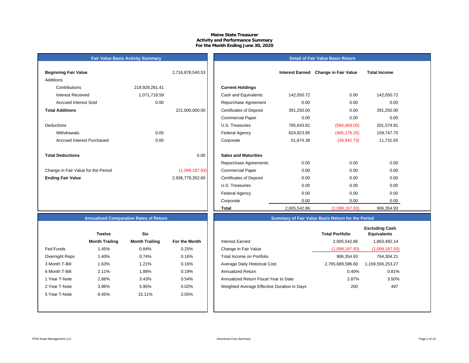#### **Maine State Treasurer Activity and Performance Summary For the Month Ending June 30, 2020**

# **Fair Value Basis Activity Summary**

| Detail of Fair Value Basis Return |  |  |
|-----------------------------------|--|--|
|                                   |  |  |
|                                   |  |  |

| <b>Beginning Fair Value</b> |                                     |                | 2,716,878,540.53 |                                |
|-----------------------------|-------------------------------------|----------------|------------------|--------------------------------|
| Additions                   |                                     |                |                  |                                |
|                             | Contributions                       | 219,928,281.41 |                  | <b>Current Holdings</b>        |
|                             | Interest Received                   | 1,071,718.59   |                  | Cash and Equivalents           |
|                             | <b>Accrued Interest Sold</b>        | 0.00           |                  | Repurchase Agreeme             |
| <b>Total Additions</b>      |                                     |                | 221,000,000.00   | <b>Certificates of Deposit</b> |
|                             |                                     |                |                  | <b>Commercial Paper</b>        |
| Deductions                  |                                     |                |                  | U.S. Treasuries                |
|                             | Withdrawals                         | 0.00           |                  | <b>Federal Agency</b>          |
|                             | Accrued Interest Purchased          | 0.00           |                  | Corporate                      |
|                             |                                     |                |                  |                                |
| <b>Total Deductions</b>     |                                     |                | 0.00             | <b>Sales and Maturities</b>    |
|                             |                                     |                |                  | Repurchase Agreeme             |
|                             | Change in Fair Value for the Period |                | (1,099,187.93)   | <b>Commercial Paper</b>        |
| <b>Ending Fair Value</b>    |                                     |                | 2,936,779,352.60 | <b>Certificates of Deposit</b> |
|                             |                                     |                |                  | U.S. Treasuries                |
|                             |                                     |                |                  |                                |

| Beginning Fair Value                |                | 2,716,878,540.53 |                                | <b>Interest Earned</b> | <b>Change in Fair Value</b> | <b>Total Income</b> |  |
|-------------------------------------|----------------|------------------|--------------------------------|------------------------|-----------------------------|---------------------|--|
| Additions                           |                |                  |                                |                        |                             |                     |  |
| Contributions                       | 219,928,281.41 |                  | <b>Current Holdings</b>        |                        |                             |                     |  |
| <b>Interest Received</b>            | 1,071,718.59   |                  | Cash and Equivalents           | 142,050.72             | 0.00                        | 142,050.72          |  |
| <b>Accrued Interest Sold</b>        | 0.00           |                  | Repurchase Agreement           | 0.00                   | 0.00                        | 0.00                |  |
| <b>Total Additions</b>              |                | 221,000,000.00   | <b>Certificates of Deposit</b> | 391,250.00             | 0.00                        | 391,250.00          |  |
|                                     |                |                  | <b>Commercial Paper</b>        | 0.00                   | 0.00                        | 0.00                |  |
| Deductions                          |                |                  | U.S. Treasuries                | 795,643.81             | (594,069.00)                | 201,574.81          |  |
| Withdrawals                         | 0.00           |                  | Federal Agency                 | 624,923.95             | (465, 176.20)               | 159,747.75          |  |
| <b>Accrued Interest Purchased</b>   | 0.00           |                  | Corporate                      | 51,674.38              | (39, 942.73)                | 11,731.65           |  |
| <b>Total Deductions</b>             |                | 0.00             | <b>Sales and Maturities</b>    |                        |                             |                     |  |
|                                     |                |                  | Repurchase Agreements          | 0.00                   | 0.00                        | 0.00                |  |
| Change in Fair Value for the Period |                | (1,099,187.93)   | <b>Commercial Paper</b>        | 0.00                   | 0.00                        | 0.00                |  |
| <b>Ending Fair Value</b>            |                | 2,936,779,352.60 | <b>Certificates of Deposit</b> | 0.00                   | 0.00                        | 0.00                |  |
|                                     |                |                  | U.S. Treasuries                | 0.00                   | 0.00                        | 0.00                |  |
|                                     |                |                  | Federal Agency                 | 0.00                   | 0.00                        | 0.00                |  |
|                                     |                |                  | Corporate                      | 0.00                   | 0.00                        | 0.00                |  |
|                                     |                |                  | Total                          | 2,005,542.86           | (1,099,187.93)              | 906,354.93          |  |

# **Summary of Fair Value Basis Return for the Period**

# **Annualized Comparative Rates of Return**

|                | <b>Twelve</b>         | <b>Six</b>            |               |
|----------------|-----------------------|-----------------------|---------------|
|                | <b>Month Trailing</b> | <b>Month Trailing</b> | For the Month |
| Fed Funds      | 1.45%                 | 0.84%                 | 0.25%         |
| Overnight Repo | 1.40%                 | 0.74%                 | 0.16%         |
| 3 Month T-Bill | 1.63%                 | 1.21%                 | 0.16%         |
| 6 Month T-Bill | 2.11%                 | 1.88%                 | 0.19%         |
| 1 Year T-Note  | 2.86%                 | 3.43%                 | 0.54%         |
| 2 Year T-Note  | 3.96%                 | 5.95%                 | 0.02%         |
| 5 Year T-Note  | 8.45%                 | 15.11%                | 2.05%         |
|                |                       |                       |               |
|                |                       |                       |               |

|                  | <b>Twelve</b>         | <b>Six</b>            |               |                                             | <b>Total Portfolio</b> | <b>Excluding Cash</b><br><b>Equivalents</b> |
|------------------|-----------------------|-----------------------|---------------|---------------------------------------------|------------------------|---------------------------------------------|
|                  | <b>Month Trailing</b> | <b>Month Trailing</b> | For the Month | <b>Interest Earned</b>                      | 2,005,542.86           | 1,863,492.14                                |
| <b>Fed Funds</b> | 1.45%                 | 0.84%                 | 0.25%         | Change in Fair Value                        | (1,099,187.93)         | (1,099,187.93)                              |
| Overnight Repo   | 1.40%                 | 0.74%                 | 0.16%         | Total Income on Portfolio                   | 906,354.93             | 764,304.21                                  |
| 3 Month T-Bill   | 1.63%                 | 1.21%                 | 0.16%         | Average Daily Historical Cost               | 2,765,689,586.60       | 1,159,556,253.27                            |
| 6 Month T-Bill   | 2.11%                 | 1.88%                 | 0.19%         | <b>Annualized Return</b>                    | 0.40%                  | 0.81%                                       |
| 1 Year T-Note    | 2.86%                 | 3.43%                 | 0.54%         | Annualized Return Fiscal Year to Date       | 2.87%                  | 3.50%                                       |
| 2 Year T-Note    | 3.96%                 | 5.95%                 | 0.02%         | Weighted Average Effective Duration in Days | 200                    | 497                                         |
| 5 Year T-Note    | 8.45%                 | 15.11%                | 2.05%         |                                             |                        |                                             |
|                  |                       |                       |               |                                             |                        |                                             |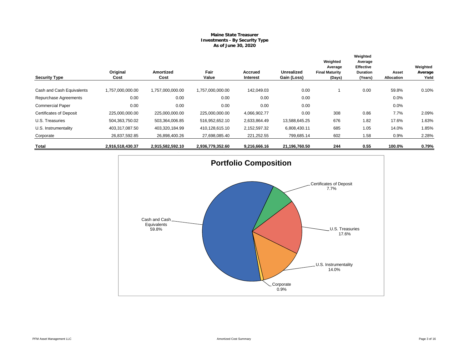### **Maine State Treasurer Investments - By Security Type As of June 30, 2020**

|                                | Original         | <b>Amortized</b> | Fair             | Accrued      | <b>Unrealized</b> | Weighted<br>Average<br><b>Final Maturity</b> | Weighted<br>Average<br><b>Effective</b><br><b>Duration</b> | Asset      | Weighted<br>Average |
|--------------------------------|------------------|------------------|------------------|--------------|-------------------|----------------------------------------------|------------------------------------------------------------|------------|---------------------|
| <b>Security Type</b>           | Cost             | Cost             | Value            | Interest     | Gain (Loss)       | (Days)                                       | (Years)                                                    | Allocation | Yield               |
| Cash and Cash Equivalents      | 1,757,000,000.00 | 1,757,000,000.00 | 1,757,000,000.00 | 142,049.03   | 0.00              |                                              | 0.00                                                       | 59.8%      | 0.10%               |
| Repurchase Agreements          | 0.00             | 0.00             | 0.00             | 0.00         | 0.00              |                                              |                                                            | 0.0%       |                     |
| <b>Commercial Paper</b>        | 0.00             | 0.00             | 0.00             | 0.00         | 0.00              |                                              |                                                            | 0.0%       |                     |
| <b>Certificates of Deposit</b> | 225,000,000.00   | 225,000,000.00   | 225,000,000.00   | 4,066,902.77 | 0.00              | 308                                          | 0.86                                                       | 7.7%       | 2.09%               |
| U.S. Treasuries                | 504,363,750.02   | 503,364,006.85   | 516,952,652.10   | 2,633,864.49 | 13,588,645.25     | 676                                          | 1.82                                                       | 17.6%      | 1.63%               |
| U.S. Instrumentality           | 403,317,087.50   | 403,320,184.99   | 410,128,615.10   | 2,152,597.32 | 6,808,430.11      | 685                                          | 1.05                                                       | 14.0%      | 1.85%               |
| Corporate                      | 26,837,592.85    | 26,898,400.26    | 27,698,085.40    | 221,252.55   | 799,685.14        | 602                                          | 1.58                                                       | 0.9%       | 2.28%               |
| Total                          | 2,916,518,430.37 | 2,915,582,592.10 | 2,936,779,352.60 | 9,216,666.16 | 21,196,760.50     | 244                                          | 0.55                                                       | 100.0%     | 0.79%               |

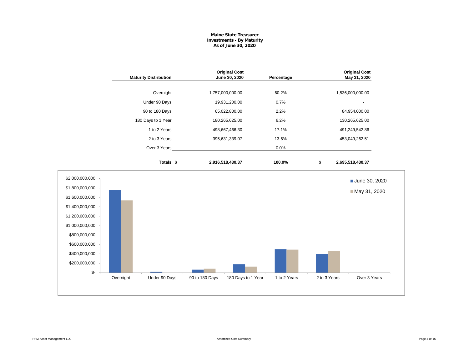#### **Maine State Treasurer Investments - By Maturity As of June 30, 2020**

|                                                                                                                                                                                           |                    | <b>Original Cost</b><br><b>Maturity Distribution</b><br>June 30, 2020<br>Percentage |                |                    |              | <b>Original Cost</b><br>May 31, 2020 |                                               |  |  |
|-------------------------------------------------------------------------------------------------------------------------------------------------------------------------------------------|--------------------|-------------------------------------------------------------------------------------|----------------|--------------------|--------------|--------------------------------------|-----------------------------------------------|--|--|
|                                                                                                                                                                                           |                    | Overnight                                                                           |                | 1,757,000,000.00   | 60.2%        |                                      | 1,536,000,000.00                              |  |  |
|                                                                                                                                                                                           | Under 90 Days      |                                                                                     | 19,931,200.00  |                    | 0.7%         |                                      |                                               |  |  |
|                                                                                                                                                                                           | 90 to 180 Days     |                                                                                     |                | 65,022,800.00      | 2.2%         |                                      | 84,954,000.00                                 |  |  |
|                                                                                                                                                                                           | 180 Days to 1 Year |                                                                                     |                | 180,265,625.00     | 6.2%         |                                      | 130,265,625.00                                |  |  |
|                                                                                                                                                                                           |                    | 1 to 2 Years                                                                        |                | 498,667,466.30     | 17.1%        |                                      | 491,249,542.86                                |  |  |
|                                                                                                                                                                                           |                    | 2 to 3 Years                                                                        |                | 395,631,339.07     | 13.6%        |                                      | 453,049,262.51                                |  |  |
|                                                                                                                                                                                           | Over 3 Years       |                                                                                     |                |                    | 0.0%         |                                      |                                               |  |  |
|                                                                                                                                                                                           |                    | Totals <sub>\$</sub>                                                                |                | 2,916,518,430.37   | 100.0%       | \$                                   | 2,695,518,430.37                              |  |  |
| \$2,000,000,000<br>\$1,800,000,000<br>\$1,600,000,000<br>\$1,400,000,000<br>\$1,200,000,000<br>\$1,000,000,000<br>\$800,000,000<br>\$600,000,000<br>\$400,000,000<br>\$200,000,000<br>\$- | Overnight          | Under 90 Days                                                                       | 90 to 180 Days | 180 Days to 1 Year | 1 to 2 Years | 2 to 3 Years                         | June 30, 2020<br>May 31, 2020<br>Over 3 Years |  |  |
|                                                                                                                                                                                           |                    |                                                                                     |                |                    |              |                                      |                                               |  |  |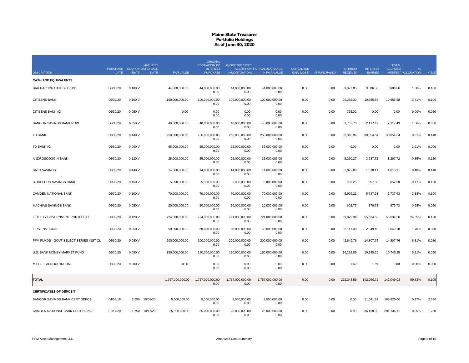| <b>DESCRIPTION</b>                     | PURCHASE COUPON DATE / CALL<br><b>DATE</b> | <b>RATE</b> | <b>MATURITY</b><br><b>DATE</b> | PAR VALUE        | <b>ORIGINAL</b><br>COST/ACCRUED<br><b>INTEREST</b><br><b>PURCHASE</b> | AMORTIZED COST/<br>(AMORTIZATION) | <b>ACCRETION FAIR VALUE/CHANGE</b><br>IN FAIR VALUE | <b>UNREALIZED</b><br><b>GAIN (LOSS)</b> | AI PURCHASED | <b>INTEREST</b><br><b>RECEIVED</b> | <b>INTEREST</b><br>EARNED | <b>TOTAL</b><br><b>ACCRUED</b> | $\mathbf{o}/$<br>INTEREST ALLOCATION | YIELD |
|----------------------------------------|--------------------------------------------|-------------|--------------------------------|------------------|-----------------------------------------------------------------------|-----------------------------------|-----------------------------------------------------|-----------------------------------------|--------------|------------------------------------|---------------------------|--------------------------------|--------------------------------------|-------|
| <b>CASH AND EQUIVALENTS</b>            |                                            |             |                                |                  |                                                                       |                                   |                                                     |                                         |              |                                    |                           |                                |                                      |       |
| <b>BAR HARBOR BANK &amp; TRUST</b>     | 06/30/20                                   | 0.100V      |                                | 44,000,000.00    | 44,000,000.00<br>0.00                                                 | 44,000,000.00<br>0.00             | 44,000,000.00<br>0.00                               | 0.00                                    | 0.00         | 9,377.05                           | 3,606.56                  | 3,606.56                       | 1.50%                                | 0.100 |
| CITIZENS BANK                          | 06/30/20                                   | 0.100V      |                                | 100,000,000.00   | 100,000,000.00<br>0.00                                                | 100,000,000.00<br>0.00            | 100,000,000.00<br>0.00                              | 0.00                                    | 0.00         | 20,382.30                          | 10,655.58                 | 10,655.58                      | 3.41%                                | 0.100 |
| CITIZENS BANK #2                       | 06/30/20                                   | 0.050V      |                                | 0.00             | 0.00<br>0.00                                                          | 0.00<br>0.00                      | 0.00<br>0.00                                        | 0.00                                    | 0.00         | 765.02                             | 0.00                      | 0.00                           | 0.00%                                | 0.050 |
| <b>BANGOR SAVINGS BANK NOW</b>         | 06/30/20                                   | 0.050V      |                                | 40,000,000.00    | 40,000,000.00<br>0.00                                                 | 40,000,000.00<br>0.00             | 40,000,000.00<br>0.00                               | 0.00                                    | 0.00         | 2,752.73                           | 2,117.49                  | 2,117.49                       | 1.36%                                | 0.050 |
| <b>TD BANK</b>                         | 06/30/20                                   | 0.140V      |                                | 250.000.000.00   | 250.000.000.00<br>0.00                                                | 250.000.000.00<br>0.00            | 250.000.000.00<br>0.00                              | 0.00                                    | 0.00         | 53.346.99                          | 30.054.64                 | 30.054.64                      | 8.51%                                | 0.140 |
| TD BANK #2                             | 06/30/20                                   | 0.000V      |                                | 65,000,000.00    | 65,000,000.00<br>0.00                                                 | 65,000,000.00<br>0.00             | 65,000,000.00<br>0.00                               | 0.00                                    | 0.00         | 0.00                               | 0.00                      | 0.00                           | 2.21%                                | 0.000 |
| ANDROSCOGGIN BANK                      | 06/30/20                                   | 0.120V      |                                | 25,000,000.00    | 25,000,000.00<br>0.00                                                 | 25,000,000.00<br>0.00             | 25,000,000.00<br>0.00                               | 0.00                                    | 0.00         | 5,260.27                           | 3,287.72                  | 3,287.72                       | 0.85%                                | 0.120 |
| <b>BATH SAVINGS</b>                    | 06/30/20                                   | 0.140V      |                                | 14,000,000.00    | 14,000,000.00<br>0.00                                                 | 14,000,000.00<br>0.00             | 14,000,000.00<br>0.00                               | 0.00                                    | 0.00         | 2,872.88                           | 1,818.11                  | 1,818.11                       | 0.48%                                | 0.140 |
| <b>BIDDEFORD SAVINGS BANK</b>          | 06/30/20                                   | 0.150V      |                                | 5,000,000.00     | 5,000,000.00<br>0.00                                                  | 5,000,000.00<br>0.00              | 5,000,000.00<br>0.00                                | 0.00                                    | 0.00         | 993.25                             | 657.58                    | 657.58                         | 0.17%                                | 0.150 |
| <b>CAMDEN NATIONAL BANK</b>            | 06/30/20                                   | 0.100V      |                                | 70,000,000.00    | 70,000,000.00<br>0.00                                                 | 70,000,000.00<br>0.00             | 70,000,000.00<br>0.00                               | 0.00                                    | 0.00         | 5,929.21                           | 5,737.93                  | 5,737.93                       | 2.38%                                | 0.100 |
| MACHIAS SAVINGS BANK                   | 06/30/20                                   | 0.050V      |                                | 20,000,000.00    | 20,000,000.00<br>0.00                                                 | 20,000,000.00<br>0.00             | 20,000,000.00<br>0.00                               | 0.00                                    | 0.00         | 602.75                             | 876.73                    | 876.73                         | 0.68%                                | 0.050 |
| FIDELITY GOVERNMENT PORTFOLIO          | 06/30/20                                   | 0.120V      |                                | 724,000,000.00   | 724,000,000.00<br>0.00                                                | 724,000,000.00<br>0.00            | 724,000,000.00<br>0.00                              | 0.00                                    | 0.00         | 59,029.36                          | 55,634.50                 | 55,634.50                      | 24.65%                               | 0.120 |
| <b>FIRST NATIONAL</b>                  | 06/30/20                                   | 0.050V      |                                | 50,000,000.00    | 50,000,000.00<br>0.00                                                 | 50,000,000.00<br>0.00             | 50,000,000.00<br>0.00                               | 0.00                                    | 0.00         | 2,117.48                           | 2,049.18                  | 2,049.18                       | 1.70%                                | 0.050 |
| PFM FUNDS - GOVT SELECT SERIES INST CL | 06/30/20                                   | 0.080V      |                                | 200,000,000.00   | 200,000,000.00<br>0.00                                                | 200,000,000.00<br>0.00            | 200,000,000.00<br>0.00                              | 0.00                                    | 0.00         | 42,649.76                          | 14,807.76                 | 14,807.76                      | 6.81%                                | 0.080 |
| U.S. BANK MONEY MARKET FUND            | 06/30/20                                   | 0.090V      |                                | 150,000,000.00   | 150,000,000.00<br>0.00                                                | 150,000,000.00<br>0.00            | 150,000,000.00<br>0.00                              | 0.00                                    | 0.00         | 16,262.85                          | 10,745.25                 | 10,745.25                      | 5.11%                                | 0.090 |
| MISCELLAENOUS INCOME                   | 06/30/20                                   | 0.000V      |                                | 0.00             | 0.00<br>0.00                                                          | 0.00<br>0.00                      | 0.00<br>0.00                                        | 0.00                                    | 0.00         | 1.69                               | 1.69                      | 0.00                           | 0.00%                                | 0.000 |
| <b>TOTAL</b>                           |                                            |             |                                | 1,757,000,000.00 | 1,757,000,000.00<br>0.00                                              | 1,757,000,000.00<br>0.00          | 1,757,000,000.00<br>0.00                            | 0.00                                    | 0.00         | 222,343.59                         | 142,050.72                | 142,049.03                     | 59.83%                               | 0.105 |
| <b>CERTIFICATES OF DEPOSIT</b>         |                                            |             |                                |                  |                                                                       |                                   |                                                     |                                         |              |                                    |                           |                                |                                      |       |
| BANGOR SAVINGS BANK CERT DEPOS         | 04/08/19                                   | 2.650       | 10/08/20                       | 5,000,000.00     | 5,000,000.00<br>0.00                                                  | 5,000,000.00<br>0.00              | 5,000,000.00<br>0.00                                | 0.00                                    | 0.00         | 0.00                               | 11,041.67                 | 165,625.00                     | 0.17%                                | 2.650 |
| CAMDEN NATIONAL BANK CERT DEPOS        | 01/17/20                                   | 1.750       | 10/17/20                       | 25,000,000.00    | 25,000,000.00<br>0.00                                                 | 25,000,000.00<br>0.00             | 25,000,000.00<br>0.00                               | 0.00                                    | 0.00         | 0.00                               | 36,458.33                 | 201,736.11                     | 0.85%                                | 1.750 |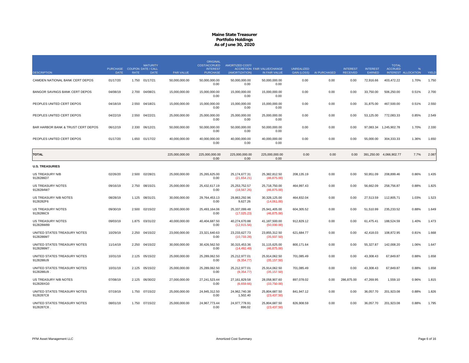|                                            |                                            |             | <b>MATURITY</b> |                  | <b>ORIGINAL</b><br>COST/ACCRUED    | <b>AMORTIZED COST/</b>           |                                                     |                                         |              |                                    |                           | <b>TOTAL</b>            |                                      |       |
|--------------------------------------------|--------------------------------------------|-------------|-----------------|------------------|------------------------------------|----------------------------------|-----------------------------------------------------|-----------------------------------------|--------------|------------------------------------|---------------------------|-------------------------|--------------------------------------|-------|
| <b>DESCRIPTION</b>                         | PURCHASE COUPON DATE / CALL<br><b>DATE</b> | <b>RATE</b> | <b>DATE</b>     | <b>PAR VALUE</b> | <b>INTEREST</b><br><b>PURCHASE</b> | (AMORTIZATION)                   | <b>ACCRETION FAIR VALUE/CHANGE</b><br>IN FAIR VALUE | <b>UNREALIZED</b><br><b>GAIN (LOSS)</b> | AI PURCHASED | <b>INTEREST</b><br><b>RECEIVED</b> | <b>INTEREST</b><br>EARNED | <b>ACCRUED</b>          | $\frac{9}{6}$<br>INTEREST ALLOCATION | YIELD |
| CAMDEN NATIONAL BANK CERT DEPOS            | 01/17/20                                   |             | 1.750 01/17/21  | 50,000,000.00    | 50,000,000.00<br>0.00              | 50,000,000.00<br>0.00            | 50,000,000.00<br>0.00                               | 0.00                                    | 0.00         | 0.00                               | 72,916.66                 | 403,472.22              | 1.70%                                | 1.750 |
| BANGOR SAVINGS BANK CERT DEPOS             | 04/08/19                                   | 2.700       | 04/08/21        | 15,000,000.00    | 15,000,000.00<br>0.00              | 15,000,000.00<br>0.00            | 15,000,000.00<br>0.00                               | 0.00                                    | 0.00         | 0.00                               | 33,750.00                 | 506,250.00              | 0.51%                                | 2.700 |
| PEOPLES UNITED CERT DEPOS                  | 04/18/19                                   | 2.550       | 04/18/21        | 15,000,000.00    | 15,000,000.00<br>0.00              | 15,000,000.00<br>0.00            | 15,000,000.00<br>0.00                               | 0.00                                    | 0.00         | 0.00                               | 31,875.00                 | 467,500.00              | 0.51%                                | 2.550 |
| PEOPLES UNITED CERT DEPOS                  | 04/22/19                                   | 2.550       | 04/22/21        | 25,000,000.00    | 25,000,000.00<br>0.00              | 25,000,000.00<br>0.00            | 25,000,000.00<br>0.00                               | 0.00                                    | 0.00         | 0.00                               | 53,125.00                 | 772,083.33              | 0.85%                                | 2.549 |
| BAR HARBOR BANK & TRUST CERT DEPOS         | 06/12/19                                   | 2.330       | 06/12/21        | 50,000,000.00    | 50,000,000.00<br>0.00              | 50,000,000.00<br>0.00            | 50,000,000.00<br>0.00                               | 0.00                                    | 0.00         | 0.00                               |                           | 97,083.34 1,245,902.78  | 1.70%                                | 2.330 |
| PEOPLES UNITED CERT DEPOS                  | 01/17/20                                   | 1.650       | 01/17/22        | 40,000,000.00    | 40.000.000.00<br>0.00              | 40.000.000.00<br>0.00            | 40.000.000.00<br>0.00                               | 0.00                                    | 0.00         | 0.00                               | 55,000.00                 | 304.333.33              | 1.36%                                | 1.650 |
| <b>TOTAL</b>                               |                                            |             |                 | 225,000,000.00   | 225,000,000.00<br>0.00             | 225,000,000.00<br>0.00           | 225,000,000.00<br>0.00                              | 0.00                                    | 0.00         | 0.00                               |                           | 391,250.00 4,066,902.77 | 7.7%                                 | 2.087 |
| <b>U.S. TREASURIES</b>                     |                                            |             |                 |                  |                                    |                                  |                                                     |                                         |              |                                    |                           |                         |                                      |       |
| US TREASURY N/B<br>9128286D7               | 02/26/20                                   | 2.500       | 02/28/21        | 25,000,000.00    | 25,265,625.00<br>0.00              | 25, 174, 677. 31<br>(21,654.21)  | 25,382,812.50<br>(46, 875.00)                       | 208,135.19                              | 0.00         | 0.00                               | 50,951.09                 | 208,899.46              | 0.86%                                | 1.435 |
| US TREASURY NOTES<br>9128284W7             | 09/16/19                                   | 2.750       | 08/15/21        | 25,000,000.00    | 25,432,617.19<br>0.00              | 25, 253, 752. 57<br>(18, 567.26) | 25,718,750.00<br>(46,875.00)                        | 464,997.43                              | 0.00         | 0.00                               | 56,662.09                 | 258,756.87              | 0.88%                                | 1.825 |
| US TREASURY N/B NOTES<br>9128282F6         | 08/28/19                                   | 1.125       | 08/31/21        | 30,000,000.00    | 29.764.453.13<br>0.00              | 29.863.292.96<br>9,627.26        | 30,328,125.00<br>(14,061.00)                        | 464,832.04                              | 0.00         | 0.00                               | 27,513.59                 | 112,805.71              | 1.03%                                | 1.523 |
| US TREASURY NOTES<br>9128286C9             | 09/30/19                                   | 2.500       | 02/15/22        | 25,000,000.00    | 25,493,164.06<br>0.00              | 25,337,099.48<br>(17,025.23)     | 25,941,405.00<br>(46, 875.00)                       | 604,305.52                              | 0.00         | 0.00                               | 51,510.99                 | 235,233.52              | 0.88%                                | 1.649 |
| US TREASURY NOTES<br>912828W89             | 09/03/19                                   | 1.875       | 03/31/22        | 40,000,000.00    | 40,404,687.50<br>0.00              | 40,274,670.88<br>(12, 915.56)    | 41,187,500.00<br>(50,000.00)                        | 912,829.12                              | 0.00         | 0.00                               | 61,475.41                 | 188,524.59              | 1.40%                                | 1.473 |
| UNITED STATES TREASURY NOTES<br>9128286M7  | 10/29/19                                   | 2.250       | 04/15/22        | 23,000,000.00    | 23,321,640.63<br>0.00              | 23,233,627.73<br>(10, 733.28)    | 23,855,312.50<br>(35,937.50)                        | 621,684.77                              | 0.00         | 0.00                               | 42,418.03                 | 108,872.95              | 0.81%                                | 1.668 |
| UNITED STATES TREASURY NOTES<br>9128286M7. | 11/14/19                                   | 2.250       | 04/15/22        | 30,000,000.00    | 30.426.562.50<br>0.00              | 30,315,453.36<br>(14, 492.49)    | 31,115,625.00<br>(46,875.00)                        | 800,171.64                              | 0.00         | 0.00                               | 55,327.87                 | 142.008.20              | 1.06%                                | 1.647 |
| UNITED STATES TREASURY NOTES<br>9128286U9  | 10/31/19                                   | 2.125       | 05/15/22        | 25,000,000.00    | 25,289,062.50<br>0.00              | 25,212,977.01<br>(9,354.77)      | 25,914,062.50<br>(35, 157.50)                       | 701,085.49                              | 0.00         | 0.00                               | 43,308.43                 | 67,849.87               | 0.88%                                | 1.658 |
| UNITED STATES TREASURY NOTES<br>9128286U9  | 10/31/19                                   | 2.125       | 05/15/22        | 25,000,000.00    | 25,289,062.50<br>0.00              | 25,212,977.01<br>(9,354.77)      | 25,914,062.50<br>(35, 157.50)                       | 701,085.49                              | 0.00         | 0.00                               | 43,308.43                 | 67,849.87               | 0.88%                                | 1.658 |
| US TREASURY N/B NOTES<br>912828XG0         | 07/08/19                                   | 2.125       | 06/30/22        | 27,000,000.00    | 27,241,523.44<br>0.00              | 27, 161, 829.58<br>(6,659.66)    | 28,058,907.60<br>(33,750.00)                        | 897,078.02                              | 0.00         | 286,875.00                         | 47,269.95                 | 1,559.10                | 0.96%                                | 1.815 |
| UNITED STATES TREASURY NOTES<br>9128287C8  | 07/19/19                                   | 1.750       | 07/15/22        | 25,000,000.00    | 24,945,312.50<br>0.00              | 24,962,740.38<br>1,502.40        | 25,804,687.50<br>(23, 437.50)                       | 841,947.12                              | 0.00         | 0.00                               | 36,057.70                 | 201,923.08              | 0.88%                                | 1.826 |
| UNITED STATES TREASURY NOTES<br>9128287C8  | 08/01/19                                   |             | 1.750 07/15/22  | 25,000,000.00    | 24,967,773.44<br>0.00              | 24,977,778.91<br>896.02          | 25,804,687.50<br>(23, 437.50)                       | 826,908.59                              | 0.00         | 0.00                               | 36,057.70                 | 201,923.08              | 0.88%                                | 1.795 |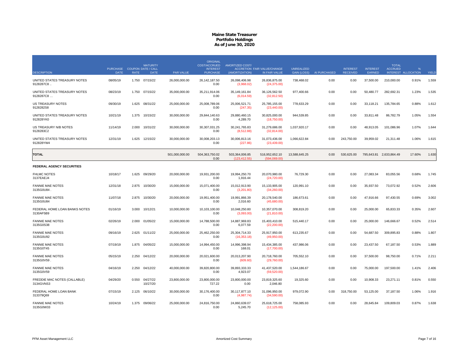|                                            | PURCHASE COUPON DATE / CALL |             | <b>MATURITY</b>      |                | <b>ORIGINAL</b><br><b>COST/ACCRUED</b><br><b>INTEREST</b> | <b>AMORTIZED COST/</b>          | ACCRETION FAIR VALUE/CHANGE    | <b>UNREALIZED</b>  |              | <b>INTEREST</b> | <b>INTEREST</b> | <b>TOTAL</b><br><b>ACCRUED</b> | %                   |       |
|--------------------------------------------|-----------------------------|-------------|----------------------|----------------|-----------------------------------------------------------|---------------------------------|--------------------------------|--------------------|--------------|-----------------|-----------------|--------------------------------|---------------------|-------|
| <b>DESCRIPTION</b>                         | <b>DATE</b>                 | <b>RATE</b> | <b>DATE</b>          | PAR VALUE      | <b>PURCHASE</b>                                           | (AMORTIZATION)                  | IN FAIR VALUE                  | <b>GAIN (LOSS)</b> | AI PURCHASED | <b>RECEIVED</b> | EARNED          |                                | INTEREST ALLOCATION | YIELD |
| UNITED STATES TREASURY NOTES<br>9128287C8  | 08/05/19                    |             | 1.750 07/15/22       | 26,000,000.00  | 26.142.187.50<br>0.00                                     | 26.098.406.98<br>(3,968.02)     | 26,836,875.00<br>(24, 375.00)  | 738,468.02         | 0.00         | 0.00            | 37,500.00       | 210,000.00                     | 0.91%               | 1.559 |
| UNITED STATES TREASURY NOTES<br>9128287C8  | 08/23/19                    | 1.750       | 07/15/22             | 35.000.000.00  | 35.211.914.06<br>0.00                                     | 35.149.161.84<br>(6,014.59)     | 36.126.562.50<br>(32,812.50)   | 977.400.66         | 0.00         | 0.00            | 50.480.77       | 282.692.31                     | 1.23%               | 1.535 |
| <b>US TREASURY NOTES</b><br>9128282S8      | 09/30/19                    | 1.625       | 08/31/22             | 25,000,000.00  | 25,008,789.06<br>0.00                                     | 25,006,521.71<br>(247.35)       | 25,785,155.00<br>(23, 440.00)  | 778,633.29         | 0.00         | 0.00            | 33,118.21       | 135,784.65                     | 0.88%               | 1.612 |
| UNITED STATES TREASURY NOTES<br>912828YK0  | 10/21/19                    | 1.375       | 10/15/22             | 30,000,000.00  | 29,844,140.63<br>0.00                                     | 29,880,460.15<br>4,289.70       | 30,825,000.00<br>(18,750.00)   | 944,539.85         | 0.00         | 0.00            | 33,811.48       | 86,782.79                      | 1.05%               | 1.554 |
| US TREASURY N/B NOTES<br>9128283C2         | 11/14/19                    | 2.000       | 10/31/22             | 30,000,000.00  | 30,307,031.25<br>0.00                                     | 30,241,765.83<br>(8,512.88)     | 31,279,686.00<br>(32,814.00)   | 1,037,920.17       | 0.00         | 0.00            | 48,913.05       | 101,086.96                     | 1.07%               | 1.644 |
| UNITED STATES TREASURY NOTES<br>912828YW4  | 12/31/19                    | 1.625       | 12/15/22             | 30.000.000.00  | 30.008.203.13<br>0.00                                     | 30.006.813.16<br>(227.86)       | 31.073.436.00<br>(23, 439.00)  | 1.066.622.84       | 0.00         | 243.750.00      | 39.959.02       | 21.311.48                      | 1.06%               | 1.615 |
| <b>TOTAL</b>                               |                             |             |                      | 501,000,000.00 | 504,363,750.02<br>0.00                                    | 503,364,006.85<br>(123, 412.55) | 516,952,652.10<br>(594.069.00) | 13,588,645.25      | 0.00         | 530,625.00      |                 | 795,643.81 2,633,864.49        | 17.60%              | 1.630 |
| <b>FEDERAL AGENCY SECURITIES</b>           |                             |             |                      |                |                                                           |                                 |                                |                    |              |                 |                 |                                |                     |       |
| <b>FHLMC NOTES</b><br>3137EAEJ4            | 10/18/17                    | 1.625       | 09/29/20             | 20,000,000.00  | 19,931,200.00<br>0.00                                     | 19,994,250.70<br>1,916.44       | 20,070,980.00<br>(24,720.00)   | 76,729.30          | 0.00         | 0.00            | 27.083.34       | 83,055.56                      | 0.68%               | 1.745 |
| <b>FANNIE MAE NOTES</b><br>3135G0U84       | 12/31/18                    | 2.875       | 10/30/20             | 15,000,000.00  | 15,071,400.00<br>0.00                                     | 15,012,913.90<br>(3,201.80)     | 15,133,905.00<br>(34,260.00)   | 120,991.10         | 0.00         | 0.00            | 35,937.50       | 73,072.92                      | 0.52%               | 2.606 |
| <b>FANNIE MAE NOTES</b><br>3135G0U84       | 11/07/18                    | 2.875       | 10/30/20             | 20,000,000.00  | 19,951,400.00<br>0.00                                     | 19,991,866.39<br>2,016.60       | 20,178,540.00<br>(45,680.00)   | 186,673.61         | 0.00         | 0.00            | 47,916.66       | 97.430.55                      | 0.69%               | 3.002 |
| FEDERAL HOME LOAN BANKS NOTES<br>3130AF5B9 | 01/16/19                    | 3.000       | 10/12/21             | 10,000,000.00  | 10,103,100.00<br>0.00                                     | 10,048,250.80<br>(3,093.00)     | 10,357,070.00<br>(21, 810.00)  | 308,819.20         | 0.00         | 0.00            | 25,000.00       | 65,833.33                      | 0.35%               | 2.607 |
| <b>FANNIE MAE NOTES</b><br>3135G0S38       | 02/26/19                    | 2.000       | 01/05/22             | 15,000,000,00  | 14,788,500.00<br>0.00                                     | 14,887,969.83<br>6,077.59       | 15,403,410.00<br>(22, 200.00)  | 515,440.17         | 0.00         | 0.00            | 25,000,00       | 146.666.67                     | 0.52%               | 2.514 |
| <b>FANNIE MAE NOTES</b><br>3135G0U92       | 09/16/19                    | 2.625       | 01/11/22             | 25,000,000.00  | 25,462,250.00<br>0.00                                     | 25,304,714.33<br>(16, 353.18)   | 25,917,950.00<br>(49,950.00)   | 613,235.67         | 0.00         | 0.00            | 54,687.50       | 309,895.83                     | 0.88%               | 1.807 |
| <b>FANNIE MAE NOTES</b><br>3135G0T45       | 07/19/19                    | 1.875       | 04/05/22             | 15,000,000.00  | 14,994,450.00<br>0.00                                     | 14,996,398.94<br>168.01         | 15,434,385.00<br>(17,700.00)   | 437,986.06         | 0.00         | 0.00            | 23,437.50       | 67,187.50                      | 0.53%               | 1.889 |
| <b>FANNIE MAE NOTES</b><br>3135G0V59       | 05/15/19                    | 2.250       | 04/12/22             | 20,000,000.00  | 20,021,600.00<br>0.00                                     | 20,013,207.90<br>(609.60)       | 20,718,760.00<br>(29,760.00)   | 705,552.10         | 0.00         | 0.00            | 37,500.00       | 98,750.00                      | 0.71%               | 2.21' |
| <b>FANNIE MAE NOTES</b><br>3135G0V59       | 04/16/19                    | 2.250       | 04/12/22             | 40,000,000.00  | 39,820,800.00<br>0.00                                     | 39,893,333.33<br>4,923.07       | 41,437,520.00<br>(59, 520.00)  | 1,544,186.67       | 0.00         | 0.00            | 75,000.00       | 197,500.00                     | 1.41%               | 2.406 |
| FREDDIE MAC NOTES (CALLABLE)<br>3134GVNS3  | 04/29/20                    | 0.550       | 04/27/22<br>10/27/20 | 23,800,000.00  | 23,800,000.00<br>727.22                                   | 23,800,000.00<br>0.00           | 23,819,325.60<br>2,046.80      | 19,325.60          | 0.00         | 0.00            | 10,908.33       | 23,271.11                      | 0.81%               | 0.550 |
| FEDERAL HOME LOAN BANK<br>313379Q69        | 07/15/19                    | 2.125       | 06/10/22             | 30,000,000.00  | 30,176,400.00<br>0.00                                     | 30,117,877.10<br>(4,987.74)     | 31,096,950.00<br>(34,590.00)   | 979,072.90         | 0.00         | 318,750.00      | 53,125.00       | 37,187.50                      | 1.06%               | 1.916 |
| <b>FANNIE MAE NOTES</b><br>3135G0W33       | 10/24/19                    | 1.375       | 09/06/22             | 25,000,000.00  | 24,816,750.00<br>0.00                                     | 24,860,639.07<br>5,245.70       | 25,618,725.00<br>(12, 125.00)  | 758,085.93         | 0.00         | 0.00            | 28,645.84       | 109,809.03                     | 0.87%               | 1.638 |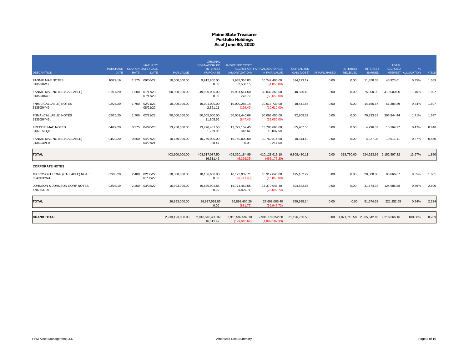| <b>DESCRIPTION</b>                          | <b>PURCHASE</b><br><b>DATE</b> | <b>RATE</b> | <b>MATURITY</b><br><b>COUPON DATE / CALL</b><br><b>DATE</b> | <b>PAR VALUE</b> | <b>ORIGINAL</b><br><b>COST/ACCRUED</b><br><b>INTEREST</b><br><b>PURCHASE</b> | AMORTIZED COST/<br>(AMORTIZATION) | <b>ACCRETION FAIR VALUE/CHANGE</b><br>IN FAIR VALUE | <b>UNREALIZED</b><br><b>GAIN (LOSS)</b> | AI PURCHASED | <b>INTEREST</b><br><b>RECEIVED</b>     | <b>INTEREST</b><br><b>EARNED</b> | <b>TOTAL</b><br><b>ACCRUED</b> | %<br>INTEREST ALLOCATION | YIELD |
|---------------------------------------------|--------------------------------|-------------|-------------------------------------------------------------|------------------|------------------------------------------------------------------------------|-----------------------------------|-----------------------------------------------------|-----------------------------------------|--------------|----------------------------------------|----------------------------------|--------------------------------|--------------------------|-------|
| <b>FANNIE MAE NOTES</b><br>3135G0W33.       | 10/29/19                       | 1.375       | 09/06/22                                                    | 10,000,000.00    | 9,912,800.00<br>0.00                                                         | 9,933,366.83<br>2,508.15          | 10,247,490.00<br>(4,850.00)                         | 314,123.17                              | 0.00         | 0.00                                   | 11,458.33                        | 43,923.61                      | 0.35%                    | 1.689 |
| FANNIE MAE NOTES (CALLABLE)<br>3135G0X40    | 01/17/20                       | 1.800       | 01/17/23<br>07/17/20                                        | 50,000,000.00    | 49,990,000.00<br>0.00                                                        | 49,991,514.60<br>273.72           | 50,032,350.00<br>(58,650.00)                        | 40.835.40                               | 0.00         | 0.00                                   | 75,000.00                        | 410,000.00                     | 1.70%                    | 1.807 |
| FNMA (CALLABLE) NOTES<br>3135G0Y49          | 02/26/20                       | 1.700       | 02/21/23<br>08/21/20                                        | 10,000,000.00    | 10,001,000.00<br>2,361.11                                                    | 10,000,288.14<br>(169.49)         | 10,018,730.00<br>(10,610.00)                        | 18,441.86                               | 0.00         | 0.00                                   | 14,166.67                        | 61,388.89                      | 0.34%                    | 1.697 |
| FNMA (CALLABLE) NOTES<br>3135G0Y49.         | 02/26/20                       | 1.700       | 02/21/23                                                    | 50,000,000.00    | 50,005,000.00<br>11,805.56                                                   | 50.001.440.68<br>(847.46)         | 50,093,650.00<br>(53,050.00)                        | 92.209.32                               | 0.00         | 0.00                                   | 70.833.33                        | 306.944.44                     | 1.71%                    | 1.697 |
| FREDDIE MAC NOTES<br>3137EAEQ8              | 04/29/20                       | 0.375       | 04/20/23                                                    | 13,750,000.00    | 13,720,437.50<br>1,289.06                                                    | 13.722.152.45<br>816.64           | 13,788,060.00<br>10,037.50                          | 65.907.55                               | 0.00         | 0.00                                   | 4.296.87                         | 10,169.27                      | 0.47%                    | 0.448 |
| FANNIE MAE NOTES (CALLABLE)<br>3136G4VE0    | 04/29/20                       | 0.550       | 04/27/23<br>04/27/21                                        | 10,750,000.00    | 10,750,000.00<br>328.47                                                      | 10,750,000.00<br>0.00             | 10,760,814.50<br>2,214.50                           | 10,814.50                               | 0.00         | 0.00                                   | 4,927.08                         | 10,511.11                      | 0.37%                    | 0.550 |
| <b>TOTAL</b>                                |                                |             |                                                             | 403,300,000.00   | 403,317,087.50<br>16,511.42                                                  | 403,320,184.99<br>(5,316.35)      | 410,128,615.10<br>(465, 176.20)                     | 6,808,430.11                            | 0.00         | 318,750.00                             |                                  | 624,923.95 2,152,597.32        | 13.97%                   | 1.850 |
| <b>CORPORATE NOTES</b>                      |                                |             |                                                             |                  |                                                                              |                                   |                                                     |                                         |              |                                        |                                  |                                |                          |       |
| MICROSOFT CORP (CALLABLE) NOTE<br>594918BW3 | 02/06/20                       | 2.400       | 02/06/22<br>01/06/22                                        | 10,000,000.00    | 10,156,600.00<br>0.00                                                        | 10,123,937.71<br>(6,711.43)       | 10,319,040.00<br>(16,850.00)                        | 195,102.29                              | 0.00         | 0.00                                   | 20,000.00                        | 96,666.67                      | 0.35%                    | 1.601 |
| JOHNSON & JOHNSON CORP NOTES<br>478160CD4   | 03/08/19                       | 2.250       | 03/03/22                                                    | 16,893,000.00    | 16,680,992.85<br>0.00                                                        | 16,774,462.55<br>5,829.71         | 17,379,045.40<br>(23,092.73)                        | 604,582.85                              | 0.00         | 0.00                                   | 31,674.38                        | 124,585.88                     | 0.59%                    | 2.690 |
| <b>TOTAL</b>                                |                                |             |                                                             | 26,893,000.00    | 26,837,592.85<br>0.00                                                        | 26,898,400.26<br>(881.72)         | 27,698,085.40<br>(39.942.73)                        | 799,685.14                              | 0.00         | 0.00                                   | 51,674.38                        | 221,252.55                     | 0.94%                    | 2.284 |
| <b>GRAND TOTAL</b>                          |                                |             |                                                             | 2,913,193,000.00 | 2,916,518,430.37<br>16,511.42                                                | 2,915,582,592.10<br>(129.610.62)  | 2,936,779,352.60<br>(1,099,187.93)                  | 21,196,760.50                           | 0.00         | 1.071.718.59 2.005.542.86 9.216.666.16 |                                  |                                | 100.00%                  | 0.789 |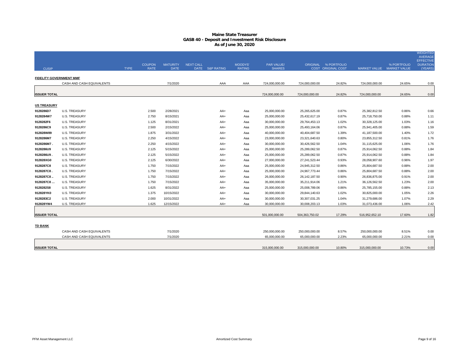| <b>CUSIP</b>                   |                           | <b>TYPE</b> | <b>COUPON</b><br><b>RATE</b> | <b>MATURITY</b><br><b>DATE</b> | <b>NEXT CALL</b> | DATE S&P RATING | <b>MOODYS'</b><br><b>RATING</b> | PAR VALUE/<br><b>SHARES</b> |                 | ORIGINAL % PORTFOLIO<br><b>COST ORIGINAL COST</b> | MARKET VALUE MARKET VALUE | % PORTFOLIO | <b>WEIGHTED</b><br><b>AVERAGE</b><br><b>EFFECTIVE</b><br><b>DURATION</b><br>(YEARS |
|--------------------------------|---------------------------|-------------|------------------------------|--------------------------------|------------------|-----------------|---------------------------------|-----------------------------|-----------------|---------------------------------------------------|---------------------------|-------------|------------------------------------------------------------------------------------|
|                                |                           |             |                              |                                |                  |                 |                                 |                             |                 |                                                   |                           |             |                                                                                    |
| <b>FIDELITY GOVERNMENT MMF</b> |                           |             |                              |                                |                  |                 |                                 |                             |                 |                                                   |                           |             |                                                                                    |
|                                | CASH AND CASH EQUIVALENTS |             |                              | 7/1/2020                       |                  | AAA             | AAA                             | 724,000,000.00              | 724,000,000.00  | 24.82%                                            | 724.000.000.00            | 24.65%      | 0.00                                                                               |
|                                |                           |             |                              |                                |                  |                 |                                 |                             |                 |                                                   |                           |             |                                                                                    |
| <b>ISSUER TOTAL</b>            |                           |             |                              |                                |                  |                 |                                 | 724,000,000.00              | 724,000,000.00  | 24.82%                                            | 724,000,000.00            | 24.65%      | 0.00                                                                               |
| <b>US TREASURY</b>             |                           |             |                              |                                |                  |                 |                                 |                             |                 |                                                   |                           |             |                                                                                    |
| 9128286D7                      | U.S. TREASURY             |             | 2.500                        | 2/28/2021                      |                  | AA+             | Aaa                             | 25,000,000.00               | 25,265,625.00   | 0.87%                                             | 25,382,812.50             | 0.86%       | 0.66                                                                               |
| 9128284W7                      | <b>U.S. TREASURY</b>      |             | 2.750                        | 8/15/2021                      |                  | AA+             | Aaa                             | 25,000,000.00               | 25,432,617.19   | 0.87%                                             | 25,718,750.00             | 0.88%       | 1.11                                                                               |
| 9128282F6                      | <b>U.S. TREASURY</b>      |             | 1.125                        | 8/31/2021                      |                  | AA+             | Aaa                             | 30,000,000.00               | 29,764,453.13   | 1.02%                                             | 30,328,125.00             | 1.03%       | 1.16                                                                               |
| 9128286C9                      | <b>U.S. TREASURY</b>      |             | 2.500                        | 2/15/2022                      |                  | AA+             | Aaa                             | 25,000,000.00               | 25,493,164.06   | 0.87%                                             | 25,941,405.00             | 0.88%       | 1.59                                                                               |
| 912828W89                      | <b>U.S. TREASURY</b>      |             | 1.875                        | 3/31/2022                      |                  | AA+             | Aaa                             | 40,000,000.00               | 40,404,687.50   | 1.39%                                             | 41,187,500.00             | 1.40%       | 1.72                                                                               |
| 9128286M7                      | <b>U.S. TREASURY</b>      |             | 2.250                        | 4/15/2022                      |                  | AA+             | Aaa                             | 23,000,000.00               | 23,321,640.63   | 0.80%                                             | 23,855,312.50             | 0.81%       | 1.76                                                                               |
| 9128286M7.                     | <b>U.S. TREASURY</b>      |             | 2.250                        | 4/15/2022                      |                  | AA+             | Aaa                             | 30,000,000.00               | 30,426,562.50   | 1.04%                                             | 31,115,625.00             | 1.06%       | 1.76                                                                               |
| 9128286U9                      | <b>U.S. TREASURY</b>      |             | 2.125                        | 5/15/2022                      |                  | AA+             | Aaa                             | 25,000,000.00               | 25,289,062.50   | 0.87%                                             | 25,914,062.50             | 0.88%       | 1.84                                                                               |
| 9128286U9.                     | <b>U.S. TREASURY</b>      |             | 2.125                        | 5/15/2022                      |                  | AA+             | Aaa                             | 25,000,000.00               | 25,289,062.50   | 0.87%                                             | 25,914,062.50             | 0.88%       | 1.84                                                                               |
| 912828XG0                      | <b>U.S. TREASURY</b>      |             | 2.125                        | 6/30/2022                      |                  | AA+             | Aaa                             | 27,000,000.00               | 27,241,523.44   | 0.93%                                             | 28,058,907.60             | 0.96%       | 1.97                                                                               |
| 9128287C8                      | <b>U.S. TREASURY</b>      |             | 1.750                        | 7/15/2022                      |                  | AA+             | Aaa                             | 25,000,000.00               | 24,945,312.50   | 0.86%                                             | 25,804,687.50             | 0.88%       | 2.00                                                                               |
| 9128287C8.                     | <b>U.S. TREASURY</b>      |             | 1.750                        | 7/15/2022                      |                  | AA+             | Aaa                             | 25,000,000.00               | 24,967,773.44   | 0.86%                                             | 25,804,687.50             | 0.88%       | 2.00                                                                               |
| 9128287C8                      | <b>U.S. TREASURY</b>      |             | 1.750                        | 7/15/2022                      |                  | AA+             | Aaa                             | 26,000,000.00               | 26, 142, 187.50 | 0.90%                                             | 26,836,875.00             | 0.91%       | 2.00                                                                               |
| 9128287C8                      | <b>U.S. TREASURY</b>      |             | 1.750                        | 7/15/2022                      |                  | AA+             | Aaa                             | 35,000,000.00               | 35,211,914.06   | 1.21%                                             | 36,126,562.50             | 1.23%       | 2.00                                                                               |
| 9128282S8                      | <b>U.S. TREASURY</b>      |             | 1.625                        | 8/31/2022                      |                  | AA+             | Aaa                             | 25,000,000.00               | 25,008,789.06   | 0.86%                                             | 25,785,155.00             | 0.88%       | 2.13                                                                               |
| 912828YK0                      | <b>U.S. TREASURY</b>      |             | 1.375                        | 10/15/2022                     |                  | AA+             | Aaa                             | 30,000,000.00               | 29,844,140.63   | 1.02%                                             | 30,825,000.00             | 1.05%       | 2.26                                                                               |
| 9128283C2                      | <b>U.S. TREASURY</b>      |             | 2.000                        | 10/31/2022                     |                  | AA+             | Aaa                             | 30,000,000.00               | 30, 307, 031.25 | 1.04%                                             | 31,279,686.00             | 1.07%       | 2.29                                                                               |
| 912828YW4                      | <b>U.S. TREASURY</b>      |             | 1.625                        | 12/15/2022                     |                  | AA+             | Aaa                             | 30,000,000.00               | 30,008,203.13   | 1.03%                                             | 31,073,436.00             | 1.06%       | 2.42                                                                               |
|                                |                           |             |                              |                                |                  |                 |                                 |                             |                 |                                                   |                           |             |                                                                                    |
| <b>ISSUER TOTAL</b>            |                           |             |                              |                                |                  |                 |                                 | 501,000,000.00              | 504,363,750.02  | 17.29%                                            | 516,952,652.10            | 17.60%      | 1.82                                                                               |
|                                |                           |             |                              |                                |                  |                 |                                 |                             |                 |                                                   |                           |             |                                                                                    |
| <b>TD BANK</b>                 | CASH AND CASH EQUIVALENTS |             |                              | 7/1/2020                       |                  |                 |                                 | 250,000,000.00              | 250,000,000.00  | 8.57%                                             | 250,000,000.00            | 8.51%       | 0.00                                                                               |
|                                | CASH AND CASH EQUIVALENTS |             |                              | 7/1/2020                       |                  |                 |                                 | 65,000,000.00               | 65,000,000.00   | 2.23%                                             | 65,000,000.00             | 2.21%       | 0.00                                                                               |
|                                |                           |             |                              |                                |                  |                 |                                 |                             |                 |                                                   |                           |             |                                                                                    |
| <b>ISSUER TOTAL</b>            |                           |             |                              |                                |                  |                 |                                 | 315,000,000.00              | 315,000,000.00  | 10.80%                                            | 315,000,000.00            | 10.73%      | 0.00                                                                               |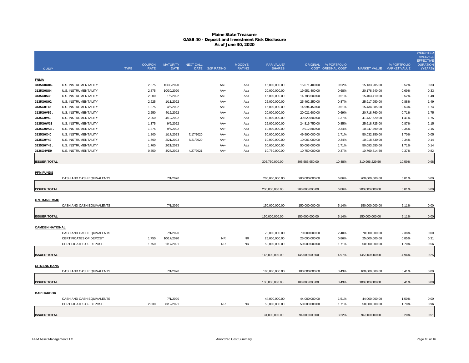|                        |                                |             |               |                 |                  |                 |               |                |                |                      |                           |             | <b>WEIGHTED</b><br><b>AVERAGE</b>   |
|------------------------|--------------------------------|-------------|---------------|-----------------|------------------|-----------------|---------------|----------------|----------------|----------------------|---------------------------|-------------|-------------------------------------|
|                        |                                |             | <b>COUPON</b> | <b>MATURITY</b> | <b>NEXT CALL</b> |                 | MOODYS'       | PAR VALUE/     |                | ORIGINAL % PORTFOLIO |                           | % PORTFOLIO | <b>EFFECTIVE</b><br><b>DURATION</b> |
| <b>CUSIP</b>           |                                | <b>TYPE</b> | <b>RATE</b>   | <b>DATE</b>     |                  | DATE S&P RATING | <b>RATING</b> | <b>SHARES</b>  |                | COST ORIGINAL COST   | MARKET VALUE MARKET VALUE |             | (YEARS                              |
| <b>FNMA</b>            |                                |             |               |                 |                  |                 |               |                |                |                      |                           |             |                                     |
| 3135G0U84.             | U.S. INSTRUMENTALITY           |             | 2.875         | 10/30/2020      |                  | AA+             | Aaa           | 15,000,000.00  | 15,071,400.00  | 0.52%                | 15,133,905.00             | 0.52%       | 0.33                                |
| 3135G0U84              | U.S. INSTRUMENTALITY           |             | 2.875         | 10/30/2020      |                  | AA+             | Aaa           | 20,000,000.00  | 19,951,400.00  | 0.68%                | 20,178,540.00             | 0.69%       | 0.33                                |
| 3135G0S38              | U.S. INSTRUMENTALITY           |             | 2.000         | 1/5/2022        |                  | AA+             | Aaa           | 15,000,000.00  | 14,788,500.00  | 0.51%                | 15,403,410.00             | 0.52%       | 1.48                                |
| 3135G0U92              | U.S. INSTRUMENTALITY           |             | 2.625         | 1/11/2022       |                  | AA+             | Aaa           | 25,000,000.00  | 25,462,250.00  | 0.87%                | 25,917,950.00             | 0.88%       | 1.49                                |
| 3135G0T45              | U.S. INSTRUMENTALITY           |             | 1.875         | 4/5/2022        |                  | AA+             | Aaa           | 15,000,000.00  | 14,994,450.00  | 0.51%                | 15,434,385.00             | 0.53%       | 1.74                                |
| 3135G0V59.             | U.S. INSTRUMENTALITY           |             | 2.250         | 4/12/2022       |                  | AA+             | Aaa           | 20,000,000.00  | 20,021,600.00  | 0.69%                | 20,718,760.00             | 0.71%       | 1.75                                |
| 3135G0V59              | U.S. INSTRUMENTALITY           |             | 2.250         | 4/12/2022       |                  | AA+             | Aaa           | 40,000,000.00  | 39,820,800.00  | 1.37%                | 41,437,520.00             | 1.41%       | 1.75                                |
| 3135G0W33              | U.S. INSTRUMENTALITY           |             | 1.375         | 9/6/2022        |                  | AA+             | Aaa           | 25,000,000.00  | 24,816,750.00  | 0.85%                | 25,618,725.00             | 0.87%       | 2.15                                |
| 3135G0W33              | U.S. INSTRUMENTALITY           |             | 1.375         | 9/6/2022        |                  | AA+             | Aaa           | 10,000,000.00  | 9,912,800.00   | 0.34%                | 10,247,490.00             | 0.35%       | 2.15                                |
| 3135G0X40              | U.S. INSTRUMENTALITY           |             | 1.800         | 1/17/2023       | 7/17/2020        | AA+             | Aaa           | 50,000,000.00  | 49,990,000.00  | 1.71%                | 50,032,350.00             | 1.70%       | 0.05                                |
| 3135G0Y49              | U.S. INSTRUMENTALITY           |             | 1.700         | 2/21/2023       | 8/21/2020        | AA+             | Aaa           | 10,000,000.00  | 10,001,000.00  | 0.34%                | 10,018,730.00             | 0.34%       | 0.14                                |
| 3135G0Y49.             | U.S. INSTRUMENTALITY           |             | 1.700         | 2/21/2023       |                  | AA+             | Aaa           | 50,000,000.00  | 50,005,000.00  | 1.71%                | 50,093,650.00             | 1.71%       | 0.14                                |
| 3136G4VE0              | U.S. INSTRUMENTALITY           |             | 0.550         | 4/27/2023       | 4/27/2021        | AA+             | Aaa           | 10,750,000.00  | 10,750,000.00  | 0.37%                | 10,760,814.50             | 0.37%       | 0.82                                |
| <b>ISSUER TOTAL</b>    |                                |             |               |                 |                  |                 |               | 305,750,000.00 | 305,585,950.00 | 10.48%               | 310,996,229.50            | 10.59%      | 0.98                                |
|                        |                                |             |               |                 |                  |                 |               |                |                |                      |                           |             |                                     |
| <b>PFM FUNDS</b>       |                                |             |               |                 |                  |                 |               |                |                |                      |                           |             |                                     |
|                        | CASH AND CASH EQUIVALENTS      |             |               | 7/1/2020        |                  |                 |               | 200,000,000.00 | 200,000,000.00 | 6.86%                | 200,000,000.00            | 6.81%       | 0.00                                |
| <b>ISSUER TOTAL</b>    |                                |             |               |                 |                  |                 |               | 200,000,000.00 | 200,000,000.00 | 6.86%                | 200,000,000.00            | 6.81%       | 0.00                                |
|                        |                                |             |               |                 |                  |                 |               |                |                |                      |                           |             |                                     |
| <b>U.S. BANK MMF</b>   | CASH AND CASH EQUIVALENTS      |             |               | 7/1/2020        |                  |                 |               | 150,000,000.00 | 150,000,000.00 | 5.14%                | 150,000,000.00            | 5.11%       | 0.00                                |
|                        |                                |             |               |                 |                  |                 |               |                |                |                      |                           |             |                                     |
| <b>ISSUER TOTAL</b>    |                                |             |               |                 |                  |                 |               | 150,000,000.00 | 150,000,000.00 | 5.14%                | 150,000,000.00            | 5.11%       | 0.00                                |
| <b>CAMDEN NATIONAL</b> |                                |             |               |                 |                  |                 |               |                |                |                      |                           |             |                                     |
|                        | CASH AND CASH EQUIVALENTS      |             |               | 7/1/2020        |                  |                 |               | 70,000,000.00  | 70,000,000.00  | 2.40%                | 70,000,000.00             | 2.38%       | 0.00                                |
|                        | <b>CERTIFICATES OF DEPOSIT</b> |             | 1.750         | 10/17/2020      |                  | <b>NR</b>       | <b>NR</b>     | 25,000,000.00  | 25,000,000.00  | 0.86%                | 25,000,000.00             | 0.85%       | 0.31                                |
|                        | CERTIFICATES OF DEPOSIT        |             | 1.750         | 1/17/2021       |                  | <b>NR</b>       | <b>NR</b>     | 50,000,000.00  | 50,000,000.00  | 1.71%                | 50,000,000.00             | 1.70%       | 0.56                                |
|                        |                                |             |               |                 |                  |                 |               |                |                |                      |                           |             |                                     |
| <b>ISSUER TOTAL</b>    |                                |             |               |                 |                  |                 |               | 145,000,000.00 | 145,000,000.00 | 4.97%                | 145,000,000.00            | 4.94%       | 0.25                                |
| <b>CITIZENS BANK</b>   |                                |             |               |                 |                  |                 |               |                |                |                      |                           |             |                                     |
|                        | CASH AND CASH EQUIVALENTS      |             |               | 7/1/2020        |                  |                 |               | 100,000,000.00 | 100,000,000.00 | 3.43%                | 100,000,000.00            | 3.41%       | 0.00                                |
| <b>ISSUER TOTAL</b>    |                                |             |               |                 |                  |                 |               | 100,000,000.00 | 100,000,000.00 | 3.43%                | 100,000,000.00            | 3.41%       | 0.00                                |
|                        |                                |             |               |                 |                  |                 |               |                |                |                      |                           |             |                                     |
| <b>BAR HARBOR</b>      |                                |             |               |                 |                  |                 |               |                |                |                      |                           |             |                                     |
|                        | CASH AND CASH EQUIVALENTS      |             |               | 7/1/2020        |                  |                 |               | 44,000,000.00  | 44,000,000.00  | 1.51%                | 44,000,000.00             | 1.50%       | 0.00                                |
|                        | CERTIFICATES OF DEPOSIT        |             | 2.330         | 6/12/2021       |                  | <b>NR</b>       | <b>NR</b>     | 50,000,000.00  | 50,000,000.00  | 1.71%                | 50,000,000.00             | 1.70%       | 0.96                                |
|                        |                                |             |               |                 |                  |                 |               |                |                |                      |                           |             |                                     |
| <b>ISSUER TOTAL</b>    |                                |             |               |                 |                  |                 |               | 94.000.000.00  | 94.000.000.00  | 3.22%                | 94.000.000.00             | 3.20%       | 0.51                                |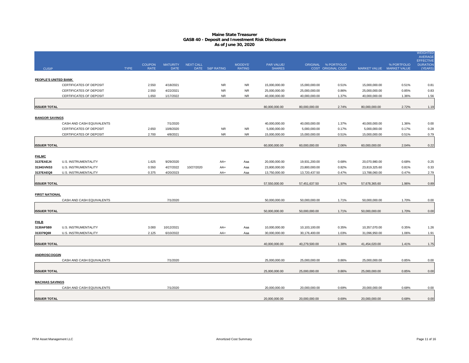| <b>CUSIP</b>                |                             | <b>TYPE</b> | <b>COUPON</b><br><b>RATE</b> | <b>MATURITY</b><br><b>DATE</b> | <b>NEXT CALL</b> | DATE S&P RATING | <b>MOODYS'</b><br><b>RATING</b> | PAR VALUE/<br><b>SHARES</b> |               | ORIGINAL % PORTFOLIO<br>COST ORIGINAL COST | MARKET VALUE MARKET VALUE | % PORTFOLIO | <b>WEIGHTED</b><br><b>AVERAGE</b><br><b>EFFECTIVE</b><br><b>DURATION</b><br>(YEARS) |
|-----------------------------|-----------------------------|-------------|------------------------------|--------------------------------|------------------|-----------------|---------------------------------|-----------------------------|---------------|--------------------------------------------|---------------------------|-------------|-------------------------------------------------------------------------------------|
|                             |                             |             |                              |                                |                  |                 |                                 |                             |               |                                            |                           |             |                                                                                     |
| <b>PEOPLE'S UNITED BANK</b> |                             |             |                              |                                |                  |                 |                                 |                             |               |                                            |                           |             |                                                                                     |
|                             | CERTIFICATES OF DEPOSIT     |             | 2.550                        | 4/18/2021                      |                  | <b>NR</b>       | <b>NR</b>                       | 15,000,000.00               | 15,000,000.00 | 0.51%                                      | 15,000,000.00             | 0.51%       | 0.81                                                                                |
|                             | CERTIFICATES OF DEPOSIT     |             | 2.550                        | 4/22/2021                      |                  | <b>NR</b>       | NR                              | 25,000,000.00               | 25,000,000.00 | 0.86%                                      | 25,000,000.00             | 0.85%       | 0.83                                                                                |
|                             | CERTIFICATES OF DEPOSIT     |             | 1.650                        | 1/17/2022                      |                  | <b>NR</b>       | <b>NR</b>                       | 40,000,000.00               | 40,000,000.00 | 1.37%                                      | 40,000,000.00             | 1.36%       | 1.56                                                                                |
| <b>ISSUER TOTAL</b>         |                             |             |                              |                                |                  |                 |                                 | 80,000,000.00               | 80,000,000.00 | 2.74%                                      | 80,000,000.00             | 2.72%       | 1.19                                                                                |
| <b>BANGOR SAVINGS</b>       |                             |             |                              |                                |                  |                 |                                 |                             |               |                                            |                           |             |                                                                                     |
|                             | CASH AND CASH EQUIVALENTS   |             |                              | 7/1/2020                       |                  |                 |                                 | 40,000,000.00               | 40,000,000.00 | 1.37%                                      | 40,000,000.00             | 1.36%       | 0.00                                                                                |
|                             | CERTIFICATES OF DEPOSIT     |             | 2.650                        | 10/8/2020                      |                  | <b>NR</b>       | <b>NR</b>                       | 5,000,000.00                | 5,000,000.00  | 0.17%                                      | 5,000,000.00              | 0.17%       | 0.28                                                                                |
|                             | CERTIFICATES OF DEPOSIT     |             | 2.700                        | 4/8/2021                       |                  | <b>NR</b>       | NR.                             | 15,000,000.00               | 15,000,000.00 | 0.51%                                      | 15,000,000.00             | 0.51%       | 0.79                                                                                |
| <b>ISSUER TOTAL</b>         |                             |             |                              |                                |                  |                 |                                 | 60,000,000.00               | 60,000,000.00 | 2.06%                                      | 60,000,000.00             | 2.04%       | 0.22                                                                                |
| <b>FHLMC</b>                |                             |             |                              |                                |                  |                 |                                 |                             |               |                                            |                           |             |                                                                                     |
| 3137EAEJ4                   | U.S. INSTRUMENTALITY        |             | 1.625                        | 9/29/2020                      |                  | AA+             | Aaa                             | 20,000,000.00               | 19,931,200.00 | 0.68%                                      | 20,070,980.00             | 0.68%       | 0.25                                                                                |
| 3134GVNS3                   | <b>U.S. INSTRUMENTALITY</b> |             | 0.550                        | 4/27/2022                      | 10/27/2020       | AA+             | Aaa                             | 23,800,000.00               | 23,800,000.00 | 0.82%                                      | 23,819,325.60             | 0.81%       | 0.33                                                                                |
| 3137EAEQ8                   | <b>U.S. INSTRUMENTALITY</b> |             | 0.375                        | 4/20/2023                      |                  | AA+             | Aaa                             | 13,750,000.00               | 13,720,437.50 | 0.47%                                      | 13,788,060.00             | 0.47%       | 2.79                                                                                |
| <b>ISSUER TOTAL</b>         |                             |             |                              |                                |                  |                 |                                 | 57,550,000.00               | 57,451,637.50 | 1.97%                                      | 57,678,365.60             | 1.96%       | 0.89                                                                                |
| <b>FIRST NATIONAL</b>       |                             |             |                              |                                |                  |                 |                                 |                             |               |                                            |                           |             |                                                                                     |
|                             | CASH AND CASH EQUIVALENTS   |             |                              | 7/1/2020                       |                  |                 |                                 | 50,000,000.00               | 50,000,000.00 | 1.71%                                      | 50,000,000.00             | 1.70%       | 0.00                                                                                |
| <b>ISSUER TOTAL</b>         |                             |             |                              |                                |                  |                 |                                 | 50,000,000.00               | 50,000,000.00 | 1.71%                                      | 50,000,000.00             | 1.70%       | 0.00                                                                                |
| <b>FHLB</b>                 |                             |             |                              |                                |                  |                 |                                 |                             |               |                                            |                           |             |                                                                                     |
| 3130AF5B9                   | U.S. INSTRUMENTALITY        |             | 3.000                        | 10/12/2021                     |                  | AA+             | Aaa                             | 10,000,000.00               | 10,103,100.00 | 0.35%                                      | 10,357,070.00             | 0.35%       | 1.26                                                                                |
| 313379Q69                   | U.S. INSTRUMENTALITY        |             | 2.125                        | 6/10/2022                      |                  | AA+             | Aaa                             | 30,000,000.00               | 30,176,400.00 | 1.03%                                      | 31,096,950.00             | 1.06%       | 1.91                                                                                |
| <b>ISSUER TOTAL</b>         |                             |             |                              |                                |                  |                 |                                 | 40,000,000.00               | 40,279,500.00 | 1.38%                                      | 41,454,020.00             | 1.41%       | 1.75                                                                                |
| <b>ANDROSCOGGIN</b>         |                             |             |                              |                                |                  |                 |                                 |                             |               |                                            |                           |             |                                                                                     |
|                             | CASH AND CASH EQUIVALENTS   |             |                              | 7/1/2020                       |                  |                 |                                 | 25,000,000.00               | 25,000,000.00 | 0.86%                                      | 25,000,000.00             | 0.85%       | 0.00                                                                                |
| <b>ISSUER TOTAL</b>         |                             |             |                              |                                |                  |                 |                                 | 25,000,000.00               | 25,000,000.00 | 0.86%                                      | 25,000,000.00             | 0.85%       | 0.00                                                                                |
| <b>MACHIAS SAVINGS</b>      |                             |             |                              |                                |                  |                 |                                 |                             |               |                                            |                           |             |                                                                                     |
|                             | CASH AND CASH EQUIVALENTS   |             |                              | 7/1/2020                       |                  |                 |                                 | 20,000,000.00               | 20,000,000.00 | 0.69%                                      | 20,000,000.00             | 0.68%       | 0.00                                                                                |
| <b>ISSUER TOTAL</b>         |                             |             |                              |                                |                  |                 |                                 | 20,000,000.00               | 20,000,000.00 | 0.69%                                      | 20,000,000.00             | 0.68%       | 0.00                                                                                |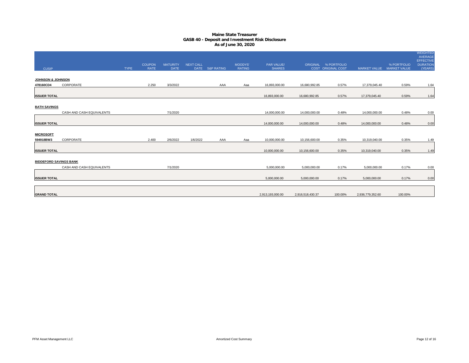|                                           |                           |             |                              |                                |                  |                 |                          |                             |                  |                                            |                     |                                    | WEIGHTED<br>AVERAGE                            |
|-------------------------------------------|---------------------------|-------------|------------------------------|--------------------------------|------------------|-----------------|--------------------------|-----------------------------|------------------|--------------------------------------------|---------------------|------------------------------------|------------------------------------------------|
| <b>CUSIP</b>                              |                           | <b>TYPE</b> | <b>COUPON</b><br><b>RATE</b> | <b>MATURITY</b><br><b>DATE</b> | <b>NEXT CALL</b> | DATE S&P RATING | MOODYS'<br><b>RATING</b> | PAR VALUE/<br><b>SHARES</b> |                  | ORIGINAL % PORTFOLIO<br>COST ORIGINAL COST | <b>MARKET VALUE</b> | % PORTFOLIO<br><b>MARKET VALUE</b> | <b>EFFECTIVE</b><br><b>DURATION</b><br>(YEARS) |
|                                           |                           |             |                              |                                |                  |                 |                          |                             |                  |                                            |                     |                                    |                                                |
| <b>JOHNSON &amp; JOHNSON</b><br>478160CD4 | CORPORATE                 |             | 2.250                        | 3/3/2022                       |                  | AAA             | Aaa                      | 16,893,000.00               | 16,680,992.85    | 0.57%                                      | 17,379,045.40       | 0.59%                              |                                                |
|                                           |                           |             |                              |                                |                  |                 |                          |                             |                  |                                            |                     |                                    | 1.64                                           |
| <b>ISSUER TOTAL</b>                       |                           |             |                              |                                |                  |                 |                          | 16,893,000.00               | 16,680,992.85    | 0.57%                                      | 17,379,045.40       | 0.59%                              | 1.64                                           |
| <b>BATH SAVINGS</b>                       |                           |             |                              |                                |                  |                 |                          |                             |                  |                                            |                     |                                    |                                                |
|                                           | CASH AND CASH EQUIVALENTS |             |                              | 7/1/2020                       |                  |                 |                          | 14,000,000.00               | 14,000,000.00    | 0.48%                                      | 14,000,000.00       | 0.48%                              | 0.00                                           |
| <b>ISSUER TOTAL</b>                       |                           |             |                              |                                |                  |                 |                          | 14,000,000.00               | 14,000,000.00    | 0.48%                                      | 14,000,000.00       | 0.48%                              | 0.00                                           |
|                                           |                           |             |                              |                                |                  |                 |                          |                             |                  |                                            |                     |                                    |                                                |
| <b>MICROSOFT</b>                          |                           |             |                              |                                |                  |                 |                          |                             |                  |                                            |                     |                                    |                                                |
| 594918BW3                                 | CORPORATE                 |             | 2.400                        | 2/6/2022                       | 1/6/2022         | AAA             | Aaa                      | 10,000,000.00               | 10,156,600.00    | 0.35%                                      | 10,319,040.00       | 0.35%                              | 1.49                                           |
| <b>ISSUER TOTAL</b>                       |                           |             |                              |                                |                  |                 |                          | 10,000,000.00               | 10,156,600.00    | 0.35%                                      | 10,319,040.00       | 0.35%                              | 1.49                                           |
|                                           |                           |             |                              |                                |                  |                 |                          |                             |                  |                                            |                     |                                    |                                                |
| <b>BIDDEFORD SAVINGS BANK</b>             | CASH AND CASH EQUIVALENTS |             |                              | 7/1/2020                       |                  |                 |                          | 5,000,000.00                | 5,000,000.00     | 0.17%                                      | 5,000,000.00        | 0.17%                              | 0.00                                           |
|                                           |                           |             |                              |                                |                  |                 |                          |                             |                  |                                            |                     |                                    |                                                |
| <b>ISSUER TOTAL</b>                       |                           |             |                              |                                |                  |                 |                          | 5,000,000.00                | 5,000,000.00     | 0.17%                                      | 5,000,000.00        | 0.17%                              | 0.00                                           |
|                                           |                           |             |                              |                                |                  |                 |                          |                             |                  |                                            |                     |                                    |                                                |
| <b>GRAND TOTAL</b>                        |                           |             |                              |                                |                  |                 |                          | 2,913,193,000.00            | 2,916,518,430.37 | 100.00%                                    | 2,936,779,352.60    | 100.00%                            |                                                |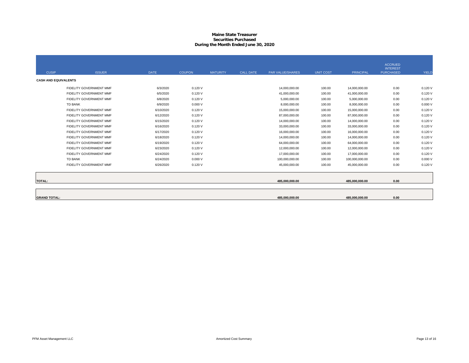#### **Maine State Treasurer Securities PurchasedDuring the Month Ended June 30, 2020**

| <b>CUSIP</b>                | <b>ISSUER</b>           | <b>DATE</b> | <b>COUPON</b> | <b>MATURITY</b> | <b>CALL DATE</b> | <b>PAR VALUE/SHARES</b> | <b>UNIT COST</b> | <b>PRINCIPAL</b> | <b>ACCRUED</b><br><b>INTEREST</b><br><b>PURCHASED</b> | YIELD  |
|-----------------------------|-------------------------|-------------|---------------|-----------------|------------------|-------------------------|------------------|------------------|-------------------------------------------------------|--------|
| <b>CASH AND EQUIVALENTS</b> |                         |             |               |                 |                  |                         |                  |                  |                                                       |        |
|                             | FIDELITY GOVERNMENT MMF | 6/3/2020    | 0.120V        |                 |                  | 14,000,000.00           | 100.00           | 14,000,000.00    | 0.00                                                  | 0.120V |
|                             | FIDELITY GOVERNMENT MMF | 6/5/2020    | 0.120V        |                 |                  | 41.000.000.00           | 100.00           | 41,000,000.00    | 0.00                                                  | 0.120V |
|                             | FIDELITY GOVERNMENT MMF | 6/8/2020    | 0.120V        |                 |                  | 5,000,000.00            | 100.00           | 5,000,000.00     | 0.00                                                  | 0.120V |
|                             | TD BANK                 | 6/9/2020    | 0.000V        |                 |                  | 8,000,000.00            | 100.00           | 8,000,000.00     | 0.00                                                  | 0.000V |
|                             | FIDELITY GOVERNMENT MMF | 6/10/2020   | 0.120V        |                 |                  | 15,000,000.00           | 100.00           | 15,000,000.00    | 0.00                                                  | 0.120V |
|                             | FIDELITY GOVERNMENT MMF | 6/12/2020   | 0.120V        |                 |                  | 87,000,000.00           | 100.00           | 87,000,000.00    | 0.00                                                  | 0.120V |
|                             | FIDELITY GOVERNMENT MMF | 6/15/2020   | 0.120V        |                 |                  | 14,000,000.00           | 100.00           | 14,000,000.00    | 0.00                                                  | 0.120V |
|                             | FIDELITY GOVERNMENT MMF | 6/16/2020   | 0.120V        |                 |                  | 33,000,000.00           | 100.00           | 33,000,000.00    | 0.00                                                  | 0.120V |
|                             | FIDELITY GOVERNMENT MMF | 6/17/2020   | 0.120V        |                 |                  | 16,000,000.00           | 100.00           | 16,000,000.00    | 0.00                                                  | 0.120V |
|                             | FIDELITY GOVERNMENT MMF | 6/18/2020   | 0.120V        |                 |                  | 14,000,000.00           | 100.00           | 14,000,000.00    | 0.00                                                  | 0.120V |
|                             | FIDELITY GOVERNMENT MMF | 6/19/2020   | 0.120V        |                 |                  | 64,000,000.00           | 100.00           | 64,000,000.00    | 0.00                                                  | 0.120V |
|                             | FIDELITY GOVERNMENT MMF | 6/23/2020   | 0.120V        |                 |                  | 12,000,000.00           | 100.00           | 12,000,000.00    | 0.00                                                  | 0.120V |
|                             | FIDELITY GOVERNMENT MMF | 6/24/2020   | 0.120V        |                 |                  | 17,000,000.00           | 100.00           | 17.000.000.00    | 0.00                                                  | 0.120V |
|                             | <b>TD BANK</b>          | 6/24/2020   | 0.000V        |                 |                  | 100,000,000.00          | 100.00           | 100,000,000.00   | 0.00                                                  | 0.000V |
|                             | FIDELITY GOVERNMENT MMF | 6/26/2020   | 0.120V        |                 |                  | 45,000,000.00           | 100.00           | 45,000,000.00    | 0.00                                                  | 0.120V |
| <b>TOTAL:</b>               |                         |             |               |                 |                  |                         |                  |                  |                                                       |        |
|                             |                         |             |               |                 |                  | 485.000.000.00          |                  | 485,000,000.00   | 0.00                                                  |        |
| <b>GRAND TOTAL:</b>         |                         |             |               |                 |                  | 485,000,000.00          |                  | 485,000,000.00   | 0.00                                                  |        |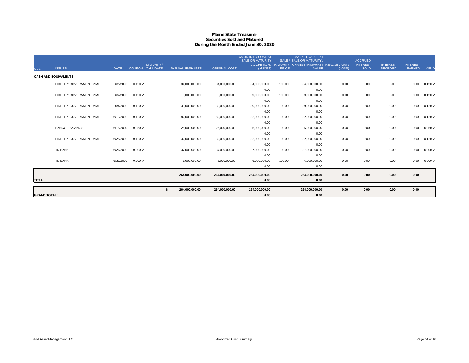#### **Maine State Treasurer Securities Sold and MaturedDuring the Month Ended June 30, 2020**

| <b>CUSIP</b>        | <b>ISSUER</b>               | <b>DATE</b> |        | <b>MATURITY/</b><br>COUPON CALL DATE | <b>PAR VALUE/SHARES</b> | <b>ORIGINAL COST</b> | <b>AMORTIZED COST AT</b><br><b>SALE OR MATURITY</b><br>(AMORT) | <b>PRICE</b> | <b>MARKET VALUE AT</b><br>SALE / SALE OR MATURITY /<br>ACCRETION / MATURITY CHANGE IN MARKET REALIZED GAIN<br><b>VALUE</b> | (LOSS) | <b>ACCRUED</b><br><b>INTEREST</b><br><b>SOLD</b> | <b>INTEREST</b><br><b>RECEIVED</b> | <b>INTEREST</b><br><b>EARNED</b> | <b>YIELD</b> |
|---------------------|-----------------------------|-------------|--------|--------------------------------------|-------------------------|----------------------|----------------------------------------------------------------|--------------|----------------------------------------------------------------------------------------------------------------------------|--------|--------------------------------------------------|------------------------------------|----------------------------------|--------------|
|                     | <b>CASH AND EQUIVALENTS</b> |             |        |                                      |                         |                      |                                                                |              |                                                                                                                            |        |                                                  |                                    |                                  |              |
|                     | FIDELITY GOVERNMENT MMF     | 6/1/2020    | 0.120V |                                      | 34,000,000.00           | 34,000,000.00        | 34,000,000.00                                                  | 100.00       | 34,000,000.00                                                                                                              | 0.00   | 0.00                                             | 0.00                               | 0.00                             | 0.120V       |
|                     |                             |             |        |                                      |                         |                      | 0.00                                                           |              | 0.00                                                                                                                       |        |                                                  |                                    |                                  |              |
|                     | FIDELITY GOVERNMENT MMF     | 6/2/2020    | 0.120V |                                      | 9,000,000.00            | 9,000,000.00         | 9,000,000.00                                                   | 100.00       | 9,000,000.00                                                                                                               | 0.00   | 0.00                                             | 0.00                               | 0.00                             | 0.120V       |
|                     |                             |             |        |                                      |                         |                      | 0.00                                                           |              | 0.00                                                                                                                       |        |                                                  |                                    |                                  |              |
|                     | FIDELITY GOVERNMENT MMF     | 6/4/2020    | 0.120V |                                      | 39,000,000.00           | 39,000,000.00        | 39,000,000.00                                                  | 100.00       | 39,000,000.00                                                                                                              | 0.00   | 0.00                                             | 0.00                               | 0.00                             | 0.120V       |
|                     |                             |             |        |                                      |                         |                      | 0.00                                                           |              | 0.00                                                                                                                       |        |                                                  |                                    |                                  |              |
|                     | FIDELITY GOVERNMENT MMF     | 6/11/2020   | 0.120V |                                      | 82,000,000.00           | 82.000.000.00        | 82,000,000.00                                                  | 100.00       | 82,000,000.00                                                                                                              | 0.00   | 0.00                                             | 0.00                               | 0.00                             | 0.120V       |
|                     |                             |             |        |                                      |                         |                      | 0.00                                                           |              | 0.00                                                                                                                       |        |                                                  |                                    |                                  |              |
|                     | <b>BANGOR SAVINGS</b>       | 6/15/2020   | 0.050V |                                      | 25,000,000.00           | 25,000,000.00        | 25,000,000.00                                                  | 100.00       | 25,000,000.00                                                                                                              | 0.00   | 0.00                                             | 0.00                               | 0.00                             | 0.050V       |
|                     |                             |             |        |                                      |                         |                      | 0.00                                                           |              | 0.00                                                                                                                       |        |                                                  |                                    |                                  |              |
|                     | FIDELITY GOVERNMENT MMF     | 6/25/2020   | 0.120V |                                      | 32,000,000.00           | 32,000,000.00        | 32,000,000.00                                                  | 100.00       | 32,000,000.00                                                                                                              | 0.00   | 0.00                                             | 0.00                               | 0.00                             | 0.120V       |
|                     |                             |             |        |                                      |                         |                      | 0.00                                                           |              | 0.00                                                                                                                       |        |                                                  |                                    |                                  |              |
|                     | TD BANK                     | 6/29/2020   | 0.000V |                                      | 37,000,000.00           | 37,000,000.00        | 37,000,000.00                                                  | 100.00       | 37,000,000.00                                                                                                              | 0.00   | 0.00                                             | 0.00                               | 0.00                             | 0.000V       |
|                     |                             |             |        |                                      |                         |                      | 0.00                                                           |              | 0.00                                                                                                                       |        |                                                  |                                    |                                  |              |
|                     | <b>TD BANK</b>              | 6/30/2020   | 0.000V |                                      | 6,000,000.00            | 6,000,000.00         | 6,000,000.00                                                   | 100.00       | 6,000,000.00                                                                                                               | 0.00   | 0.00                                             | 0.00                               | 0.00                             | 0.000V       |
|                     |                             |             |        |                                      |                         |                      | 0.00                                                           |              | 0.00                                                                                                                       |        |                                                  |                                    |                                  |              |
|                     |                             |             |        |                                      | 264.000.000.00          | 264.000.000.00       | 264,000,000.00                                                 |              | 264,000,000.00                                                                                                             | 0.00   | 0.00                                             | 0.00                               | 0.00                             |              |
| <b>TOTAL:</b>       |                             |             |        |                                      |                         |                      | 0.00                                                           |              | 0.00                                                                                                                       |        |                                                  |                                    |                                  |              |
|                     |                             |             |        |                                      |                         |                      |                                                                |              |                                                                                                                            |        |                                                  |                                    |                                  |              |
|                     |                             |             |        | £.                                   | 264,000,000.00          | 264,000,000.00       | 264,000,000.00                                                 |              | 264,000,000.00                                                                                                             | 0.00   | 0.00                                             | 0.00                               | 0.00                             |              |
| <b>GRAND TOTAL:</b> |                             |             |        |                                      |                         |                      | 0.00                                                           |              | 0.00                                                                                                                       |        |                                                  |                                    |                                  |              |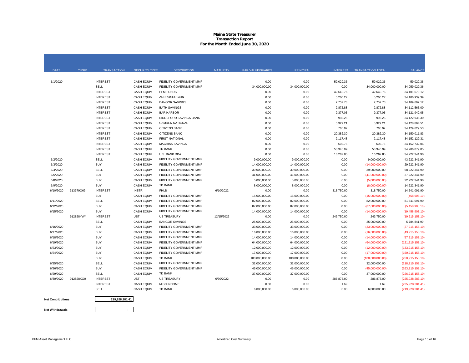# **Maine State Treasurer Transaction Report For the Month Ended June 30, 2020**

| <b>DATE</b>              | <b>CUSIP</b> | <b>TRANSACTION</b> | <b>SECURITY TYPE</b> | <b>DESCRIPTION</b>             | <b>MATURITY</b> | PAR VALUE/SHARES | <b>PRINCIPAL</b> | <b>INTEREST</b> | <b>TRANSACTION TOTAL</b> | <b>BALANCE</b>      |
|--------------------------|--------------|--------------------|----------------------|--------------------------------|-----------------|------------------|------------------|-----------------|--------------------------|---------------------|
|                          |              |                    |                      |                                |                 |                  |                  |                 |                          |                     |
| 6/1/2020                 |              | <b>INTEREST</b>    | <b>CASH EQUIV</b>    | <b>FIDELITY GOVERNMENT MMF</b> |                 | 0.00             | 0.00             | 59,029.36       | 59,029.36                | 59,029.36           |
|                          |              | <b>SELL</b>        | <b>CASH EQUIV</b>    | <b>FIDELITY GOVERNMENT MMF</b> |                 | 34,000,000.00    | 34,000,000.00    | 0.00            | 34,000,000.00            | 34,059,029.36       |
|                          |              | <b>INTEREST</b>    | <b>CASH EQUIV</b>    | <b>PFM FUNDS</b>               |                 | 0.00             | 0.00             | 42,649.76       | 42,649.76                | 34, 101, 679. 12    |
|                          |              | <b>INTEREST</b>    | <b>CASH EQUIV</b>    | ANDROSCOGGIN                   |                 | 0.00             | 0.00             | 5,260.27        | 5,260.27                 | 34,106,939.39       |
|                          |              | <b>INTEREST</b>    | <b>CASH EQUIV</b>    | <b>BANGOR SAVINGS</b>          |                 | 0.00             | 0.00             | 2,752.73        | 2,752.73                 | 34.109.692.12       |
|                          |              | <b>INTEREST</b>    | <b>CASH EQUIV</b>    | <b>BATH SAVINGS</b>            |                 | 0.00             | 0.00             | 2,872.88        | 2,872.88                 | 34,112,565.00       |
|                          |              | <b>INTEREST</b>    | <b>CASH EQUIV</b>    | <b>BAR HARBOR</b>              |                 | 0.00             | 0.00             | 9,377.05        | 9,377.05                 | 34,121,942.05       |
|                          |              | <b>INTEREST</b>    | <b>CASH EQUIV</b>    | <b>BIDDEFORD SAVINGS BANK</b>  |                 | 0.00             | 0.00             | 993.25          | 993.25                   | 34,122,935.30       |
|                          |              | <b>INTEREST</b>    | <b>CASH EQUIV</b>    | <b>CAMDEN NATIONAL</b>         |                 | 0.00             | 0.00             | 5,929.21        | 5,929.21                 | 34,128,864.51       |
|                          |              | <b>INTEREST</b>    | <b>CASH EQUIV</b>    | <b>CITIZENS BANK</b>           |                 | 0.00             | 0.00             | 765.02          | 765.02                   | 34,129,629.53       |
|                          |              | <b>INTEREST</b>    | <b>CASH EQUIV</b>    | <b>CITIZENS BANK</b>           |                 | 0.00             | 0.00             | 20,382.30       | 20,382.30                | 34,150,011.83       |
|                          |              | <b>INTEREST</b>    | <b>CASH EQUIV</b>    | <b>FIRST NATIONAL</b>          |                 | 0.00             | 0.00             | 2,117.48        | 2,117.48                 | 34, 152, 129. 31    |
|                          |              | <b>INTEREST</b>    | <b>CASH EQUIV</b>    | <b>MACHIAS SAVINGS</b>         |                 | 0.00             | 0.00             | 602.75          | 602.75                   | 34, 152, 732.06     |
|                          |              | <b>INTEREST</b>    | <b>CASH EQUIV</b>    | <b>TD BANK</b>                 |                 | 0.00             | 0.00             | 53,346.99       | 53,346.99                | 34,206,079.05       |
|                          |              | <b>INTEREST</b>    | <b>CASH EQUIV</b>    | U.S. BANK DDA                  |                 | 0.00             | 0.00             | 16,262.85       | 16,262.85                | 34,222,341.90       |
| 6/2/2020                 |              | SELL               | <b>CASH EQUIV</b>    | FIDELITY GOVERNMENT MMF        |                 | 9,000,000.00     | 9,000,000.00     | 0.00            | 9,000,000.00             | 43,222,341.90       |
| 6/3/2020                 |              | <b>BUY</b>         | <b>CASH EQUIV</b>    | <b>FIDELITY GOVERNMENT MMF</b> |                 | 14.000.000.00    | 14,000,000.00    | 0.00            | (14,000,000.00)          | 29.222.341.90       |
| 6/4/2020                 |              | SELL               | <b>CASH EQUIV</b>    | <b>FIDELITY GOVERNMENT MMF</b> |                 | 39,000,000.00    | 39,000,000.00    | 0.00            | 39,000,000.00            | 68,222,341.90       |
| 6/5/2020                 |              | <b>BUY</b>         | <b>CASH EQUIV</b>    | FIDELITY GOVERNMENT MMF        |                 | 41,000,000.00    | 41,000,000.00    | 0.00            | (41,000,000.00)          | 27,222,341.90       |
| 6/8/2020                 |              | <b>BUY</b>         | <b>CASH EQUIV</b>    | FIDELITY GOVERNMENT MMF        |                 | 5,000,000.00     | 5,000,000.00     | 0.00            | (5,000,000.00)           | 22.222.341.90       |
| 6/9/2020                 |              | <b>BUY</b>         | <b>CASH EQUIV</b>    | <b>TD BANK</b>                 |                 | 8,000,000.00     | 8,000,000.00     | 0.00            | (8,000,000.00)           | 14,222,341.90       |
| 6/10/2020                | 313379Q69    | <b>INTEREST</b>    | <b>INSTR</b>         | <b>FHLB</b>                    | 6/10/2022       | 0.00             | 0.00             | 318,750.00      | 318,750.00               | 14,541,091.90       |
|                          |              | <b>BUY</b>         | <b>CASH EQUIV</b>    | <b>FIDELITY GOVERNMENT MMF</b> |                 | 15,000,000.00    | 15,000,000.00    | 0.00            | (15,000,000.00)          | (458,908.10)        |
| 6/11/2020                |              | SELL               | <b>CASH EQUIV</b>    | FIDELITY GOVERNMENT MMF        |                 | 82,000,000.00    | 82,000,000.00    | 0.00            | 82,000,000.00            | 81,541,091.90       |
| 6/12/2020                |              | <b>BUY</b>         | <b>CASH EQUIV</b>    | <b>FIDELITY GOVERNMENT MMF</b> |                 | 87,000,000.00    | 87,000,000.00    | 0.00            | (87,000,000.00)          | (5,458,908.10)      |
| 6/15/2020                |              | <b>BUY</b>         | <b>CASH EQUIV</b>    | <b>FIDELITY GOVERNMENT MMF</b> |                 | 14,000,000.00    | 14,000,000.00    | 0.00            | (14,000,000.00)          | (19, 458, 908.10)   |
|                          | 912828YW4    | <b>INTEREST</b>    | <b>UST</b>           | <b>US TREASURY</b>             | 12/15/2022      | 0.00             | 0.00             | 243,750.00      | 243,750.00               | (19, 215, 158, 10)  |
|                          |              | SELL               | <b>CASH EQUIV</b>    | <b>BANGOR SAVINGS</b>          |                 | 25,000,000.00    | 25,000,000.00    | 0.00            | 25,000,000.00            | 5,784,841.90        |
| 6/16/2020                |              | <b>BUY</b>         | <b>CASH EQUIV</b>    | <b>FIDELITY GOVERNMENT MMF</b> |                 | 33.000.000.00    | 33,000,000.00    | 0.00            | (33,000,000.00)          | (27, 215, 158, 10)  |
| 6/17/2020                |              | <b>BUY</b>         | <b>CASH EQUIV</b>    | <b>FIDELITY GOVERNMENT MMF</b> |                 | 16,000,000.00    | 16,000,000.00    | 0.00            | (16,000,000.00)          | (43, 215, 158, 10)  |
| 6/18/2020                |              | <b>BUY</b>         | <b>CASH EQUIV</b>    | FIDELITY GOVERNMENT MMF        |                 | 14,000,000.00    | 14,000,000.00    | 0.00            | (14,000,000.00)          | (57, 215, 158, 10)  |
| 6/19/2020                |              | <b>BUY</b>         | <b>CASH EQUIV</b>    | <b>FIDELITY GOVERNMENT MMF</b> |                 | 64,000,000.00    | 64,000,000.00    | 0.00            | (64,000,000.00)          | (121, 215, 158.10)  |
| 6/23/2020                |              | <b>BUY</b>         | <b>CASH EQUIV</b>    | FIDELITY GOVERNMENT MMF        |                 | 12,000,000.00    | 12,000,000.00    | 0.00            | (12,000,000.00)          | (133, 215, 158.10)  |
| 6/24/2020                |              | <b>BUY</b>         | <b>CASH EQUIV</b>    | FIDELITY GOVERNMENT MMF        |                 | 17,000,000.00    | 17,000,000.00    | 0.00            | (17,000,000.00)          | (150, 215, 158.10)  |
|                          |              | <b>BUY</b>         | <b>CASH EQUIV</b>    | <b>TD BANK</b>                 |                 | 100,000,000.00   | 100,000,000.00   | 0.00            | (100,000,000.00)         | (250, 215, 158.10)  |
| 6/25/2020                |              | SELL               | <b>CASH EQUIV</b>    | FIDELITY GOVERNMENT MMF        |                 | 32,000,000.00    | 32,000,000.00    | 0.00            | 32,000,000.00            | (218, 215, 158, 10) |
| 6/26/2020                |              | <b>BUY</b>         | <b>CASH EQUIV</b>    | FIDELITY GOVERNMENT MMF        |                 | 45,000,000.00    | 45,000,000.00    | 0.00            | (45,000,000.00)          | (263, 215, 158.10)  |
| 6/29/2020                |              | SELL               | <b>CASH EQUIV</b>    | <b>TD BANK</b>                 |                 | 37,000,000.00    | 37,000,000.00    | 0.00            | 37,000,000.00            | (226, 215, 158.10)  |
| 6/30/2020                | 912828XG0    | <b>INTEREST</b>    | <b>UST</b>           | <b>US TREASURY</b>             | 6/30/2022       | 0.00             | 0.00             | 286,875.00      | 286,875.00               | (225, 928, 283, 10) |
|                          |              | <b>INTEREST</b>    | <b>CASH EQUIV</b>    | MISC INCOME                    |                 | 0.00             | 0.00             | 1.69            | 1.69                     | (225, 928, 281.41)  |
|                          |              | <b>SELL</b>        | <b>CASH EQUIV</b>    | <b>TD BANK</b>                 |                 | 6,000,000.00     | 6,000,000.00     | 0.00            | 6,000,000.00             | (219, 928, 281.41)  |
|                          |              | 219,928,281.41     |                      |                                |                 |                  |                  |                 |                          |                     |
| <b>Net Contributions</b> |              |                    |                      |                                |                 |                  |                  |                 |                          |                     |



 $\mathbf{I}$ 



**-**